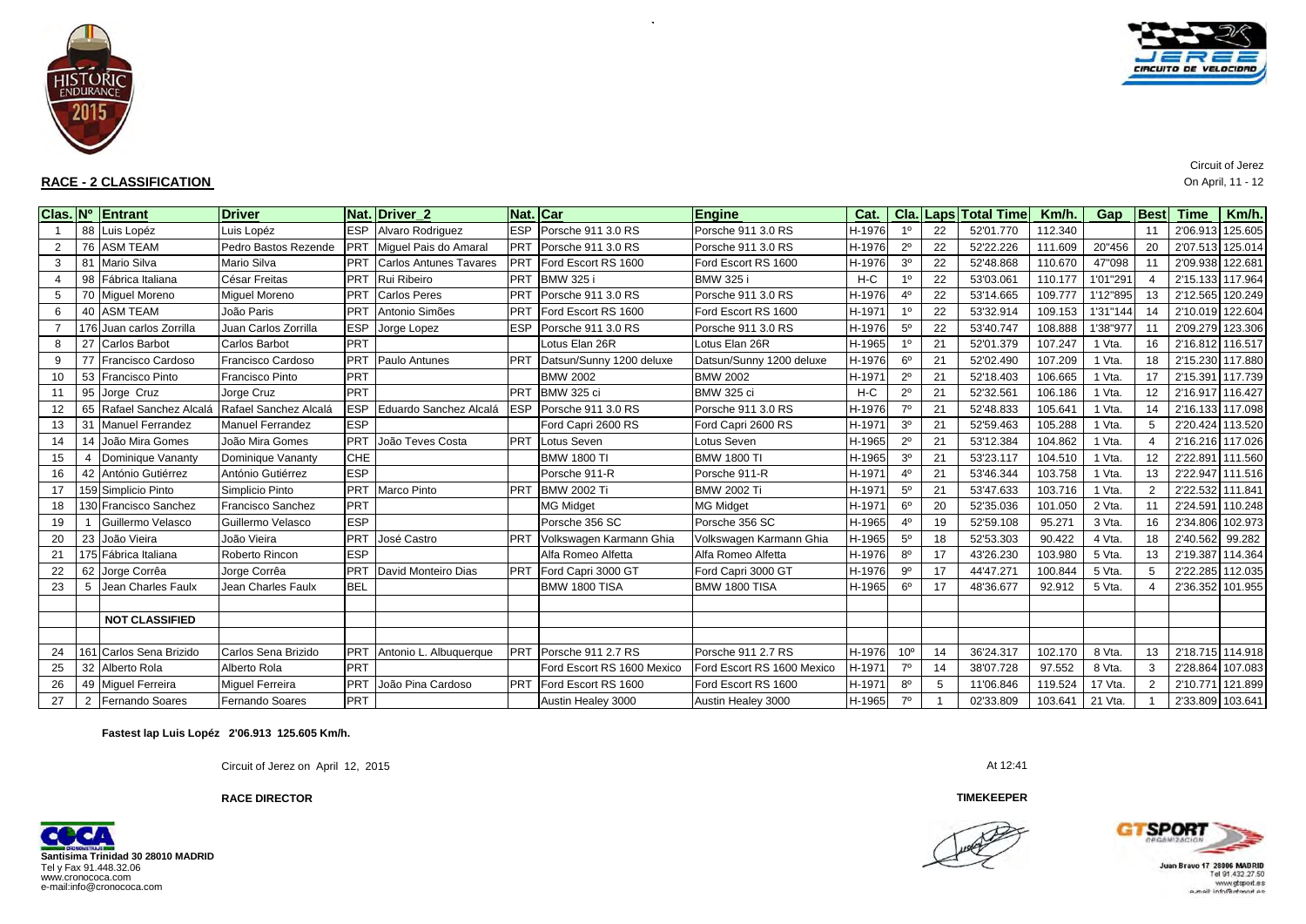

# **RACE - 2 CLASSIFICATION** On April, 11 - 12

CIRCUITO DE VELOCIDRO

# Circuit of Jerez

|    |     | Clas. Nº Entrant         | <b>Driver</b>            | Nat.       | Driver <sub>2</sub>           |            | Nat. Car                   | <b>Engine</b>              | Cat.   |                 |    | Cla. Laps Total Time | Km/h.   | Gap      | <b>Best</b>    | <b>Time</b>      | Km/h.   |
|----|-----|--------------------------|--------------------------|------------|-------------------------------|------------|----------------------------|----------------------------|--------|-----------------|----|----------------------|---------|----------|----------------|------------------|---------|
|    |     | 88 Luis Lopéz            | Luis Lopéz               | <b>ESP</b> | Alvaro Rodriguez              | <b>ESP</b> | Porsche 911 3.0 RS         | Porsche 911 3.0 RS         | H-1976 | 10              | 22 | 52'01.770            | 112.340 |          | 11             | 2'06.913 125.605 |         |
| 2  |     | 76 ASM TEAM              | Pedro Bastos Rezende     | <b>PRT</b> | Miquel Pais do Amaral         | <b>PRT</b> | Porsche 911 3.0 RS         | Porsche 911 3.0 RS         | H-1976 | $2^{\circ}$     | 22 | 52'22.226            | 111.609 | 20"456   | 20             | 2'07.513 125.014 |         |
| 3  |     | 81 Mario Silva           | Mario Silva              | PRT        | <b>Carlos Antunes Tavares</b> | PRT        | Ford Escort RS 1600        | Ford Escort RS 1600        | H-1976 | 3 <sup>0</sup>  | 22 | 52'48.868            | 110.670 | 47"098   | 11             | 2'09.938 122.681 |         |
|    | 98  | Fábrica Italiana         | César Freitas            | <b>PRT</b> | Rui Ribeiro                   | PRT        | <b>BMW 325 i</b>           | <b>BMW 325</b>             | $H-C$  |                 | 22 | 53'03.061            | 110.177 | 1'01"291 |                | 2'15.133 117.964 |         |
| 5  |     | 70 Miquel Moreno         | <b>Miquel Moreno</b>     | <b>PRT</b> | <b>Carlos Peres</b>           | PRT        | Porsche 911 3.0 RS         | Porsche 911 3.0 RS         | H-1976 | 4 <sup>0</sup>  | 22 | 53'14.665            | 109.777 | 1'12"895 |                | 2'12.565 120.249 |         |
| 6  |     | 40 ASM TEAM              | João Paris               | PRT        | Antonio Simões                | <b>PRT</b> | Ford Escort RS 1600        | Ford Escort RS 1600        | H-1971 | 10              | 22 | 53'32.914            | 109.153 | 1'31"144 | 14             | 2'10.019 122.604 |         |
|    |     | 176 Juan carlos Zorrilla | Juan Carlos Zorrilla     | <b>ESP</b> | Jorge Lopez                   | <b>ESP</b> | Porsche 911 3.0 RS         | Porsche 911 3.0 RS         | H-1976 | $5^{\circ}$     | 22 | 53'40.747            | 108.888 | 1'38"977 |                | 2'09.279         | 123.306 |
| 8  | 27  | Carlos Barbot            | <b>Carlos Barbot</b>     | PRT        |                               |            | Lotus Elan 26R             | Lotus Elan 26R             | H-1965 | 10              | 21 | 52'01.379            | 107.247 | 1 Vta.   | 16             | 2'16.812 116.517 |         |
| 9  |     | Francisco Cardoso        | Francisco Cardoso        | PRT        | Paulo Antunes                 | PRT        | Datsun/Sunny 1200 deluxe   | Datsun/Sunny 1200 deluxe   | H-1976 | 6 <sup>o</sup>  | 21 | 52'02.490            | 107.209 | 1 Vta.   | 18             | 2'15.230 117.880 |         |
| 10 | 53  | Francisco Pinto          | Francisco Pinto          | PRT        |                               |            | <b>BMW 2002</b>            | <b>BMW 2002</b>            | H-1971 | $2^{\circ}$     | 21 | 52'18.403            | 106.665 | 1 Vta.   | 17             | 2'15.391 117.739 |         |
| 11 |     | 95 Jorge Cruz            | Jorge Cruz               | PRT        |                               | PRT        | <b>BMW 325 ci</b>          | <b>BMW 325 ci</b>          | H-C    | $2^{\circ}$     | 21 | 52'32.561            | 106.186 | 1 Vta.   |                | 2'16.917 116.427 |         |
| 12 |     | 65 Rafael Sanchez Alcala | Rafael Sanchez Alcalá    | <b>ESP</b> | Eduardo Sanchez Alcalá        | <b>ESP</b> | Porsche 911 3.0 RS         | Porsche 911 3.0 RS         | H-1976 | 70              | 21 | 52'48.833            | 105.641 | 1 Vta.   | 14             | 2'16.133 117.098 |         |
| 13 |     | 31 Manuel Ferrandez      | <b>Manuel Ferrandez</b>  | <b>ESP</b> |                               |            | Ford Capri 2600 RS         | Ford Capri 2600 RS         | H-1971 | 3 <sup>o</sup>  | 21 | 52'59.463            | 105.288 | 1 Vta.   |                | 2'20.424 113.520 |         |
| 14 |     | 14 João Mira Gomes       | João Mira Gomes          | PRT        | João Teves Costa              | PRT        | Lotus Seven                | Lotus Seven                | H-1965 | $2^{\circ}$     | 21 | 53'12.384            | 104.862 | I Vta.   |                | 2'16.216 117.026 |         |
| 15 | 4   | Dominique Vananty        | Dominique Vananty        | CHE        |                               |            | <b>BMW 1800 TI</b>         | <b>BMW 1800 TI</b>         | H-1965 | 3 <sup>o</sup>  | 21 | 53'23.117            | 104.510 | 1 Vta.   | 12             | 2'22.891 111.560 |         |
| 16 | 42  | António Gutiérrez        | António Gutiérrez        | <b>ESP</b> |                               |            | Porsche 911-R              | Porsche 911-R              | H-1971 | $4^{\circ}$     | 21 | 53'46.344            | 103.758 | 1 Vta.   | 13             | 2'22.947 111.516 |         |
| 17 |     | 159 Simplicio Pinto      | Simplicio Pinto          | <b>PRT</b> | <b>Marco Pinto</b>            | PRT        | <b>BMW 2002 Ti</b>         | <b>BMW 2002 Ti</b>         | H-1971 | $5^{\circ}$     | 21 | 53'47.633            | 103.716 | 1 Vta.   | $\overline{2}$ | 2'22.532 111.841 |         |
| 18 |     | 130 Francisco Sanchez    | <b>Francisco Sanchez</b> | PRT        |                               |            | <b>MG Midget</b>           | <b>MG Midget</b>           | H-1971 | $6^{\circ}$     | 20 | 52'35.036            | 101.050 | 2 Vta.   | 11             | 2'24.591 110.248 |         |
| 19 |     | Guillermo Velasco        | Guillermo Velasco        | <b>ESP</b> |                               |            | Porsche 356 SC             | Porsche 356 SC             | H-1965 | 4 <sup>0</sup>  | 19 | 52'59.108            | 95.271  | 3 Vta.   |                | 2'34.806 102.973 |         |
| 20 |     | 23 João Vieira           | João Vieira              | PRT        | José Castro                   | PRT        | Volkswagen Karmann Ghia    | Volkswagen Karmann Ghia    | H-1965 | $5^{\circ}$     | 18 | 52'53.303            | 90.422  | 4 Vta.   | 18             | 2'40.562         | 99.282  |
| 21 |     | 175 Fábrica Italiana     | Roberto Rincon           | <b>ESP</b> |                               |            | Alfa Romeo Alfetta         | Alfa Romeo Alfetta         | H-1976 | $8^{\circ}$     | 17 | 43'26.230            | 103.980 | 5 Vta.   | 13             | 2'19.387 114.364 |         |
| 22 |     | 62 Jorge Corrêa          | Jorge Corrêa             | PRT        | David Monteiro Dias           | PRT        | Ford Capri 3000 GT         | Ford Capri 3000 GT         | H-1976 | 9 <sup>o</sup>  | 17 | 44'47.271            | 100.844 | 5 Vta.   | .5             | 2'22.285         | 112.035 |
| 23 |     | Jean Charles Faulx       | Jean Charles Faulx       | <b>BEL</b> |                               |            | BMW 1800 TISA              | BMW 1800 TISA              | H-1965 | 6 <sup>0</sup>  | 17 | 48'36.677            | 92.912  | 5 Vta.   |                | 2'36.352 101.955 |         |
|    |     |                          |                          |            |                               |            |                            |                            |        |                 |    |                      |         |          |                |                  |         |
|    |     | <b>NOT CLASSIFIED</b>    |                          |            |                               |            |                            |                            |        |                 |    |                      |         |          |                |                  |         |
|    |     |                          |                          |            |                               |            |                            |                            |        |                 |    |                      |         |          |                |                  |         |
| 24 | 161 | Carlos Sena Brizido      | Carlos Sena Brizido      | PRT        | Antonio L. Albuquerque        | PRT        | Porsche 911 2.7 RS         | Porsche 911 2.7 RS         | H-1976 | 10 <sup>o</sup> | 14 | 36'24.317            | 102.170 | 8 Vta.   | 13             | 2'18.715 114.918 |         |
| 25 | 32  | Alberto Rola             | Alberto Rola             | PRT        |                               |            | Ford Escort RS 1600 Mexico | Ford Escort RS 1600 Mexico | H-1971 | $7^\circ$       | 14 | 38'07.728            | 97.552  | 8 Vta.   | 3              | 2'28.864 107.083 |         |
| 26 |     | 49 Miquel Ferreira       | <b>Miquel Ferreira</b>   | <b>PRT</b> | João Pina Cardoso             | PRT        | Ford Escort RS 1600        | Ford Escort RS 1600        | H-1971 | $8^{\circ}$     | 5  | 11'06.846            | 119.524 | 17 Vta.  |                | 2'10.771         | 121.899 |
| 27 |     | 2 Fernando Soares        | Fernando Soares          | <b>PRT</b> |                               |            | Austin Healey 3000         | Austin Healey 3000         | H-1965 | 70              |    | 02'33.809            | 103.641 | 21 Vta.  |                | 2'33.809 103.641 |         |

 $\alpha$ 

**Fastest lap Luis Lopéz 2'06.913 125.605 Km/h.**

Circuit of Jerez on April 12, 2015 At 12:41

**RACE DIRECTOR**



**TIMEKEEPER**



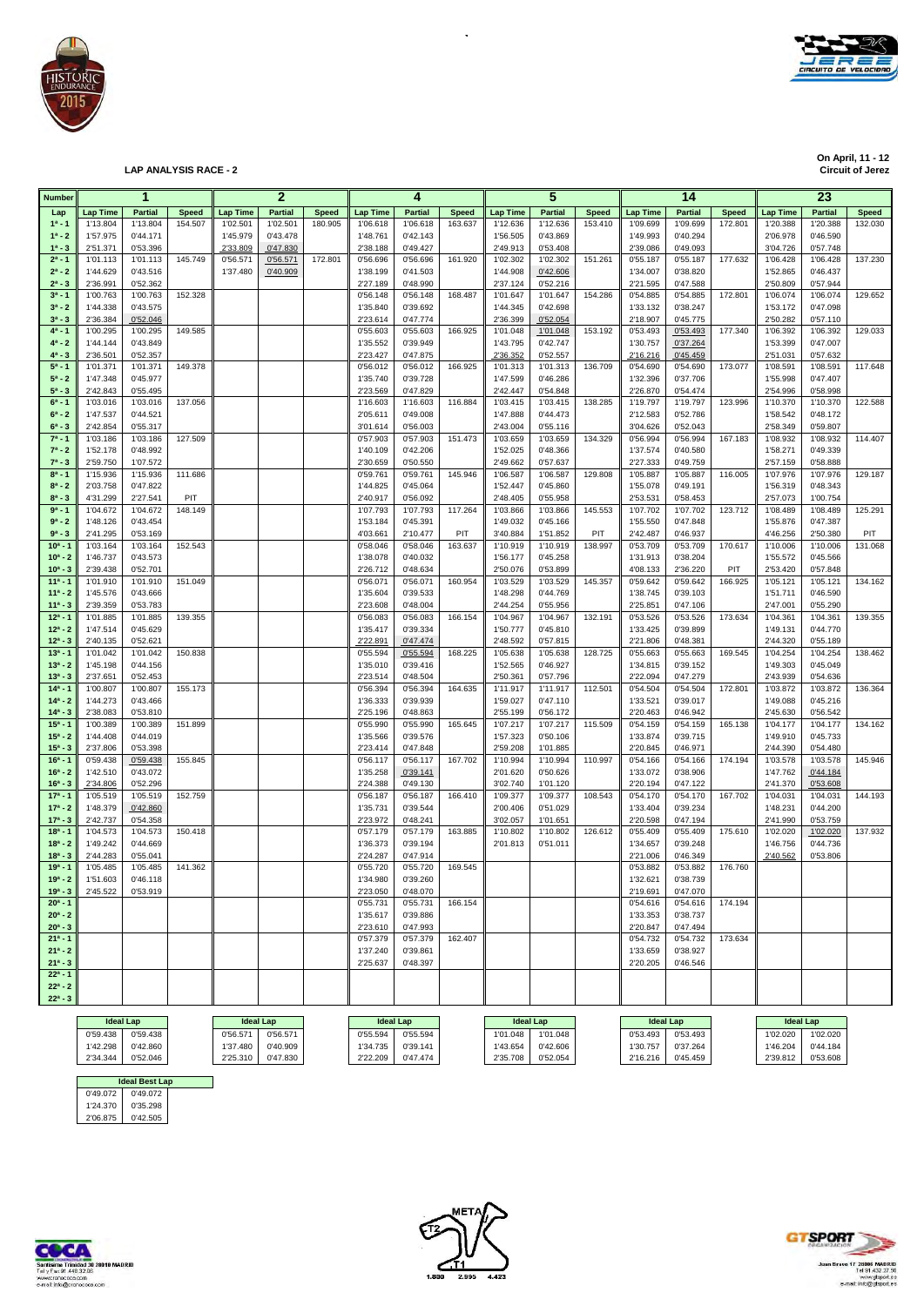

**On April, 11 - 12**

**LAP ANALYSIS RACE - 2** 

| <b>Number</b>              |                      | 1                    |              |                  | $\mathbf{2}$   |              |                      | 4                    |              |                      | 5                    |              |                      | 14                   |              |                      | 23                   |              |
|----------------------------|----------------------|----------------------|--------------|------------------|----------------|--------------|----------------------|----------------------|--------------|----------------------|----------------------|--------------|----------------------|----------------------|--------------|----------------------|----------------------|--------------|
| Lap                        | <b>Lap Time</b>      | <b>Partial</b>       | <b>Speed</b> | <b>Lap Time</b>  | <b>Partial</b> | <b>Speed</b> | Lap Time             | <b>Partial</b>       | <b>Speed</b> | <b>Lap Time</b>      | <b>Partial</b>       | <b>Speed</b> | <b>Lap Time</b>      | <b>Partial</b>       | <b>Speed</b> | Lap Time             | <b>Partial</b>       | <b>Speed</b> |
| $1^a - 1$                  | 1'13.804             | 1'13.804             | 154.507      | 1'02.501         | 1'02.501       | 180.905      | 1'06.618             | 1'06.618             | 163.637      | 1'12.636             | 1'12.636             | 153.410      | 1'09.699             | 1'09.699             | 172.801      | 1'20.388             | 1'20.388             | 132.030      |
| $1^a - 2$                  | 1'57.975             | 0'44.171             |              | 1'45.979         | 0'43.478       |              | 1'48.761             | 0'42.143             |              | 1'56.505             | 0'43.869             |              | 1'49.993             | 0'40.294             |              | 2'06.978             | 0'46.590             |              |
| $1^a - 3$                  | 2'51.371             | 0'53.396             |              | 2'33.809         | 0'47.830       |              | 2'38.188             | 0'49.427             |              | 2'49.913             | 0'53.408             |              | 2'39.086             | 0'49.093             |              | 3'04.726             | 0'57.748             |              |
| $2^a - 1$                  | 1'01.113             | 1'01.113             | 145.749      | 0'56.571         | 0'56.571       | 172.801      | 0'56.696             | 0'56.696             | 161.920      | 1'02.302             | 1'02.302             | 151.261      | 0'55.187             | 0'55.187             | 177.632      | 1'06.428             | 1'06.428             | 137.230      |
| $2^a - 2$<br>$2^a - 3$     | 1'44.629<br>2'36.991 | 0'43.516<br>0'52.362 |              | 1'37.480         | 0'40.909       |              | 1'38.199<br>2'27.189 | 0'41.503<br>0'48.990 |              | 1'44.908<br>2'37.124 | 0'42.606<br>0'52.216 |              | 1'34.007<br>2'21.595 | 0'38.820<br>0'47.588 |              | 1'52.865<br>2'50.809 | 0'46.437<br>0'57.944 |              |
| $3^a - 1$                  | 1'00.763             | 1'00.763             | 152.328      |                  |                |              | 0'56.148             | 0'56.148             | 168.487      | 1'01.647             | 1'01.647             | 154.286      | 0'54.885             | 0'54.885             | 172.801      | 1'06.074             | 1'06.074             | 129.652      |
| $3^a - 2$                  | 1'44.338             | 0'43.575             |              |                  |                |              | 1'35.840             | 0'39.692             |              | 1'44.345             | 0'42.698             |              | 1'33.132             | 0'38.247             |              | 1'53.172             | 0'47.098             |              |
| $3^a - 3$                  | 2'36.384             | 0'52.046             |              |                  |                |              | 2'23.614             | 0'47.774             |              | 2'36.399             | 0'52.054             |              | 2'18.907             | 0'45.775             |              | 2'50.282             | 0'57.110             |              |
| $4^a - 1$                  | 1'00.295             | 1'00.295             | 149.585      |                  |                |              | 0'55.603             | 0'55.603             | 166.925      | 1'01.048             | 1'01.048             | 153.192      | 0'53.493             | 0'53.493             | 177.340      | 1'06.392             | 1'06.392             | 129.033      |
| $4^a - 2$                  | 1'44.144             | 0'43.849             |              |                  |                |              | 1'35.552             | 0'39.949             |              | 1'43.795             | 0'42.747             |              | 1'30.757             | 0'37.264             |              | 1'53.399             | 0'47.007             |              |
| $4^a - 3$<br>$5a - 1$      | 2'36.501             | 0'52.357             |              |                  |                |              | 2'23.427             | 0'47.875             |              | 2'36.352             | 0'52.557             |              | 2'16.216             | 0'45.459             |              | 2'51.031             | 0'57.632             |              |
| $5^a - 2$                  | 1'01.371<br>1'47.348 | 1'01.371<br>0'45.977 | 149.378      |                  |                |              | 0'56.012<br>1'35.740 | 0'56.012<br>0'39.728 | 166.925      | 1'01.313<br>1'47.599 | 1'01.313<br>0'46.286 | 136.709      | 0'54.690<br>1'32.396 | 0'54.690<br>0'37.706 | 173.077      | 1'08.591<br>1'55.998 | 1'08.591<br>0'47.407 | 117.648      |
| $5^a - 3$                  | 2'42.843             | 0'55.495             |              |                  |                |              | 2'23.569             | 0'47.829             |              | 2'42.447             | 0'54.848             |              | 2'26.870             | 0'54.474             |              | 2'54.996             | 0'58.998             |              |
| $6^a - 1$                  | 1'03.016             | 1'03.016             | 137.056      |                  |                |              | 1'16.603             | 1'16.603             | 116.884      | 1'03.415             | 1'03.415             | 138.285      | 1'19.797             | 1'19.797             | 123.996      | 1'10.370             | 1'10.370             | 122.588      |
| $6^a - 2$                  | 1'47.537             | 0'44.521             |              |                  |                |              | 2'05.611             | 0'49.008             |              | 1'47.888             | 0'44.473             |              | 2'12.583             | 0'52.786             |              | 1'58.542             | 0'48.172             |              |
| $6^a - 3$                  | 2'42.854             | 0'55.317             |              |                  |                |              | 3'01.614             | 0'56.003             |              | 2'43.004             | 0'55.116             |              | 3'04.626             | 0'52.043             |              | 2'58.349             | 0'59.807             |              |
| $7^a - 1$                  | 1'03.186             | 1'03.186             | 127.509      |                  |                |              | 0'57.903             | 0'57.903             | 151.473      | 1'03.659             | 1'03.659             | 134.329      | 0'56.994             | 0'56.994             | 167.183      | 1'08.932             | 1'08.932             | 114.407      |
| $7^a - 2$<br>$7^a - 3$     | 1'52.178<br>2'59.750 | 0'48.992             |              |                  |                |              | 1'40.109<br>2'30.659 | 0'42.206<br>0'50.550 |              | 1'52.025             | 0'48.366             |              | 1'37.574             | 0'40.580<br>0'49.759 |              | 1'58.271             | 0'49.339<br>0'58.888 |              |
| $8^a - 1$                  | 1'15.936             | 1'07.572<br>1'15.936 | 111.686      |                  |                |              | 0'59.761             | 0'59.761             | 145.946      | 2'49.662<br>1'06.587 | 0'57.637<br>1'06.587 | 129.808      | 2'27.333<br>1'05.887 | 1'05.887             | 116.005      | 2'57.159<br>1'07.976 | 1'07.976             | 129.187      |
| $8^a - 2$                  | 2'03.758             | 0'47.822             |              |                  |                |              | 1'44.825             | 0'45.064             |              | 1'52.447             | 0'45.860             |              | 1'55.078             | 0'49.191             |              | 1'56.319             | 0'48.343             |              |
| $8^a - 3$                  | 4'31.299             | 2'27.541             | PIT          |                  |                |              | 2'40.917             | 0'56.092             |              | 2'48.405             | 0'55.958             |              | 2'53.531             | 0'58.453             |              | 2'57.073             | 1'00.754             |              |
| $9a - 1$                   | 1'04.672             | 1'04.672             | 148.149      |                  |                |              | 1'07.793             | 1'07.793             | 117.264      | 1'03.866             | 1'03.866             | 145.553      | 1'07.702             | 1'07.702             | 123.712      | 1'08.489             | 1'08.489             | 125.291      |
| $9^a - 2$                  | 1'48.126             | 0'43.454             |              |                  |                |              | 1'53.184             | 0'45.391             |              | 1'49.032             | 0'45.166             |              | 1'55.550             | 0'47.848             |              | 1'55.876             | 0'47.387             |              |
| $9^a - 3$                  | 2'41.295             | 0'53.169             |              |                  |                |              | 4'03.661             | 2'10.477             | PIT          | 3'40.884             | 1'51.852             | PIT          | 2'42.487             | 0'46.937             |              | 4'46.256             | 2'50.380             | PIT          |
| $10a - 1$                  | 1'03.164             | 1'03.164             | 152.543      |                  |                |              | 0'58.046             | 0'58.046             | 163.637      | 1'10.919             | 1'10.919             | 138.997      | 0'53.709             | 0'53.709             | 170.617      | 1'10.006             | 1'10.006             | 131.068      |
| $10^a - 2$<br>$10^{a} - 3$ | 1'46.737<br>2'39.438 | 0'43.573<br>0'52.701 |              |                  |                |              | 1'38.078<br>2'26.712 | 0'40.032<br>0'48.634 |              | 1'56.177<br>2'50.076 | 0'45.258<br>0'53.899 |              | 1'31.913<br>4'08.133 | 0'38.204<br>2'36.220 | PIT          | 1'55.572<br>2'53.420 | 0'45.566<br>0'57.848 |              |
| $11a - 1$                  | 1'01.910             | 1'01.910             | 151.049      |                  |                |              | 0'56.071             | 0'56.071             | 160.954      | 1'03.529             | 1'03.529             | 145.357      | 0'59.642             | 0'59.642             | 166.925      | 1'05.121             | 1'05.121             | 134.162      |
| $11a - 2$                  | 1'45.576             | 0'43.666             |              |                  |                |              | 1'35.604             | 0'39.533             |              | 1'48.298             | 0'44.769             |              | 1'38.745             | 0'39.103             |              | 1'51.711             | 0'46.590             |              |
| $11a - 3$                  | 2'39.359             | 0'53.783             |              |                  |                |              | 2'23.608             | 0'48.004             |              | 2'44.254             | 0'55.956             |              | 2'25.851             | 0'47.106             |              | 2'47.001             | 0'55.290             |              |
| $12^a - 1$                 | 1'01.885             | 1'01.885             | 139.355      |                  |                |              | 0'56.083             | 0'56.083             | 166.154      | 1'04.967             | 1'04.967             | 132.191      | 0'53.526             | 0'53.526             | 173.634      | 1'04.361             | 1'04.361             | 139.355      |
| $12^a - 2$                 | 1'47.514             | 0'45.629             |              |                  |                |              | 1'35.417             | 0'39.334             |              | 1'50.777             | 0'45.810             |              | 1'33.425             | 0'39.899             |              | 1'49.131             | 0'44.770             |              |
| $12^a - 3$<br>$13a - 1$    | 2'40.135<br>1'01.042 | 0'52.621<br>1'01.042 | 150.838      |                  |                |              | 2'22.891<br>0'55.594 | 0'47.474<br>0'55.594 | 168.225      | 2'48.592<br>1'05.638 | 0'57.815<br>1'05.638 | 128.725      | 2'21.806<br>0'55.663 | 0'48.381<br>0'55.663 | 169.545      | 2'44.320<br>1'04.254 | 0'55.189<br>1'04.254 | 138.462      |
| $13^a - 2$                 | 1'45.198             | 0'44.156             |              |                  |                |              | 1'35.010             | 0'39.416             |              | 1'52.565             | 0'46.927             |              | 1'34.815             | 0'39.152             |              | 1'49.303             | 0'45.049             |              |
| $13^a - 3$                 | 2'37.651             | 0'52.453             |              |                  |                |              | 2'23.514             | 0'48.504             |              | 2'50.361             | 0'57.796             |              | 2'22.094             | 0'47.279             |              | 2'43.939             | 0'54.636             |              |
| $14a - 1$                  | 1'00.807             | 1'00.807             | 155.173      |                  |                |              | 0'56.394             | 0'56.394             | 164.635      | 1'11.917             | 1'11.917             | 112.501      | 0'54.504             | 0'54.504             | 172.801      | 1'03.872             | 1'03.872             | 136.364      |
| $14^a - 2$                 | 1'44.273             | 0'43.466             |              |                  |                |              | 1'36.333             | 0'39.939             |              | 1'59.027             | 0'47.110             |              | 1'33.521             | 0'39.017             |              | 1'49.088             | 0'45.216             |              |
| $14^a - 3$                 | 2'38.083             | 0'53.810             |              |                  |                |              | 2'25.196             | 0'48.863             |              | 2'55.199             | 0'56.172             |              | 2'20.463             | 0'46.942             |              | 2'45.630             | 0'56.542             |              |
| $15^{a} - 1$<br>$15^a - 2$ | 1'00.389<br>1'44.408 | 1'00.389<br>0'44.019 | 151.899      |                  |                |              | 0'55.990<br>1'35.566 | 0'55.990             | 165.645      | 1'07.217<br>1'57.323 | 1'07.217             | 115.509      | 0'54.159             | 0'54.159<br>0'39.715 | 165.138      | 1'04.177<br>1'49.910 | 1'04.177<br>0'45.733 | 134.162      |
| $15^a - 3$                 | 2'37.806             | 0'53.398             |              |                  |                |              | 2'23.414             | 0'39.576<br>0'47.848 |              | 2'59.208             | 0'50.106<br>1'01.885 |              | 1'33.874<br>2'20.845 | 0'46.971             |              | 2'44.390             | 0'54.480             |              |
| $16a - 1$                  | 0'59.438             | 0'59.438             | 155.845      |                  |                |              | 0'56.117             | 0'56.117             | 167.702      | 1'10.994             | 1'10.994             | 110.997      | 0'54.166             | 0'54.166             | 174.194      | 1'03.578             | 1'03.578             | 145.946      |
| $16^a - 2$                 | 1'42.510             | 0'43.072             |              |                  |                |              | 1'35.258             | 0'39.141             |              | 2'01.620             | 0'50.626             |              | 1'33.072             | 0'38.906             |              | 1'47.762             | 0'44.184             |              |
| $16^a - 3$                 | 2'34.806             | 0'52.296             |              |                  |                |              | 2'24.388             | 0'49.130             |              | 3'02.740             | 1'01.120             |              | 2'20.194             | 0'47.122             |              | 2'41.370             | 0'53.608             |              |
| $17a - 1$                  | 1'05.519             | 1'05.519             | 152.759      |                  |                |              | 0'56.187             | 0'56.187             | 166.410      | 1'09.377             | 1'09.377             | 108.543      | 0'54.170             | 0'54.170             | 167.702      | 1'04.031             | 1'04.031             | 144.193      |
| $17^a - 2$                 | 1'48.379<br>2'42.737 | 0'42.860<br>0'54.358 |              |                  |                |              | 1'35.731<br>2'23.972 | 0'39.544<br>0'48.241 |              | 2'00.406<br>3'02.057 | 0'51.029<br>1'01.651 |              | 1'33.404<br>2'20.598 | 0'39.234<br>0'47.194 |              | 1'48.231<br>2'41.990 | 0'44.200<br>0'53.759 |              |
| $17^a - 3$<br>$18a - 1$    | 1'04.573             | 1'04.573             | 150.418      |                  |                |              | 0'57.179             | 0'57.179             | 163.885      | 1'10.802             | 1'10.802             | 126.612      | 0'55.409             | 0'55.409             | 175.610      | 1'02.020             | 1'02.020             | 137.932      |
| $18a - 2$                  | 1'49.242             | 0'44.669             |              |                  |                |              | 1'36.373             | 0'39.194             |              | 2'01.813             | 0'51.011             |              | 1'34.657             | 0'39.248             |              | 1'46.756             | 0'44.736             |              |
| $18a - 3$                  | 2'44.283             | 0'55.041             |              |                  |                |              | 2'24.287             | 0'47.914             |              |                      |                      |              | 2'21.006             | 0'46.349             |              | 2'40.562             | 0'53.806             |              |
| $19a - 1$                  | 1'05.485             | 1'05.485             | 141.362      |                  |                |              | 0'55.720             | 0'55.720             | 169.545      |                      |                      |              | 0'53.882             | 0'53.882             | 176.760      |                      |                      |              |
| $19a - 2$                  | 1'51.603             | 0'46.118             |              |                  |                |              | 1'34.980             | 0'39.260             |              |                      |                      |              | 1'32.621             | 0'38.739             |              |                      |                      |              |
| $19a - 3$                  | 2'45.522             | 0'53.919             |              |                  |                |              | 2'23.050             | 0'48.070             |              |                      |                      |              | 2'19.691             | 0'47.070             |              |                      |                      |              |
| $20^a - 1$<br>$20^a - 2$   |                      |                      |              |                  |                |              | 0'55.731<br>1'35.617 | 0'55.731<br>0'39.886 | 166.154      |                      |                      |              | 0'54.616<br>1'33.353 | 0'54.616<br>0'38.737 | 174.194      |                      |                      |              |
| $20^a - 3$                 |                      |                      |              |                  |                |              | 2'23.610             | 0'47.993             |              |                      |                      |              | 2'20.847             | 0'47.494             |              |                      |                      |              |
| $21^a - 1$                 |                      |                      |              |                  |                |              | 0'57.379             | 0'57.379             | 162.407      |                      |                      |              | 0'54.732             | 0'54.732             | 173.634      |                      |                      |              |
| $21^a - 2$                 |                      |                      |              |                  |                |              | 1'37.240             | 0'39.861             |              |                      |                      |              | 1'33.659             | 0'38.927             |              |                      |                      |              |
| $21^a - 3$                 |                      |                      |              |                  |                |              | 2'25.637             | 0'48.397             |              |                      |                      |              | 2'20.205             | 0'46.546             |              |                      |                      |              |
| $22^a - 1$                 |                      |                      |              |                  |                |              |                      |                      |              |                      |                      |              |                      |                      |              |                      |                      |              |
| $22^a - 2$                 |                      |                      |              |                  |                |              |                      |                      |              |                      |                      |              |                      |                      |              |                      |                      |              |
| $22^a - 3$                 |                      |                      |              |                  |                |              |                      |                      |              |                      |                      |              |                      |                      |              |                      |                      |              |
|                            | <b>Ideal Lap</b>     |                      |              | <b>Ideal Lap</b> |                |              |                      | <b>Ideal Lap</b>     |              |                      | <b>Ideal Lap</b>     |              |                      | <b>Ideal Lap</b>     |              | <b>Ideal Lap</b>     |                      |              |

 $\overline{\phantom{a}}$ 

|          | <b>Ideal Lap</b>      |          | <b>Ideal Lap</b> | <b>Ideal Lap</b> |          | <b>Ideal Lap</b> |          |          | <b>Ideal Lap</b> | <b>Ideal Lap</b> |          |
|----------|-----------------------|----------|------------------|------------------|----------|------------------|----------|----------|------------------|------------------|----------|
| 0'59.438 | 0'59.438              | 0'56.571 | 0'56.571         | 0'55.594         | 0'55.594 | 1'01.048         | 1'01.048 | 0'53.493 | 0'53.493         | 1'02.020         | 1'02.020 |
| 1'42.298 | 0'42.860              | 37,480   | 0'40.909         | 1'34.735         | 0'39.141 | 1'43.654         | 0'42.606 | 1'30.757 | 0'37.264         | 1'46.204         | 0'44.184 |
| 2'34.344 | 0'52.046              | 2'25.310 | 0'47.830         | 2'22.209         | 0'47.474 | 2'35.708         | 0'52.054 | 2'16.216 | 0'45.459         | 2'39.812         | 0'53.608 |
|          |                       |          |                  |                  |          |                  |          |          |                  |                  |          |
|          | <b>Ideal Best Lap</b> |          |                  |                  |          |                  |          |          |                  |                  |          |

 0'49.072 0'49.072 1'24.370 0'35.298 2'06.875 0'42.505 **Ideal Best Lap**





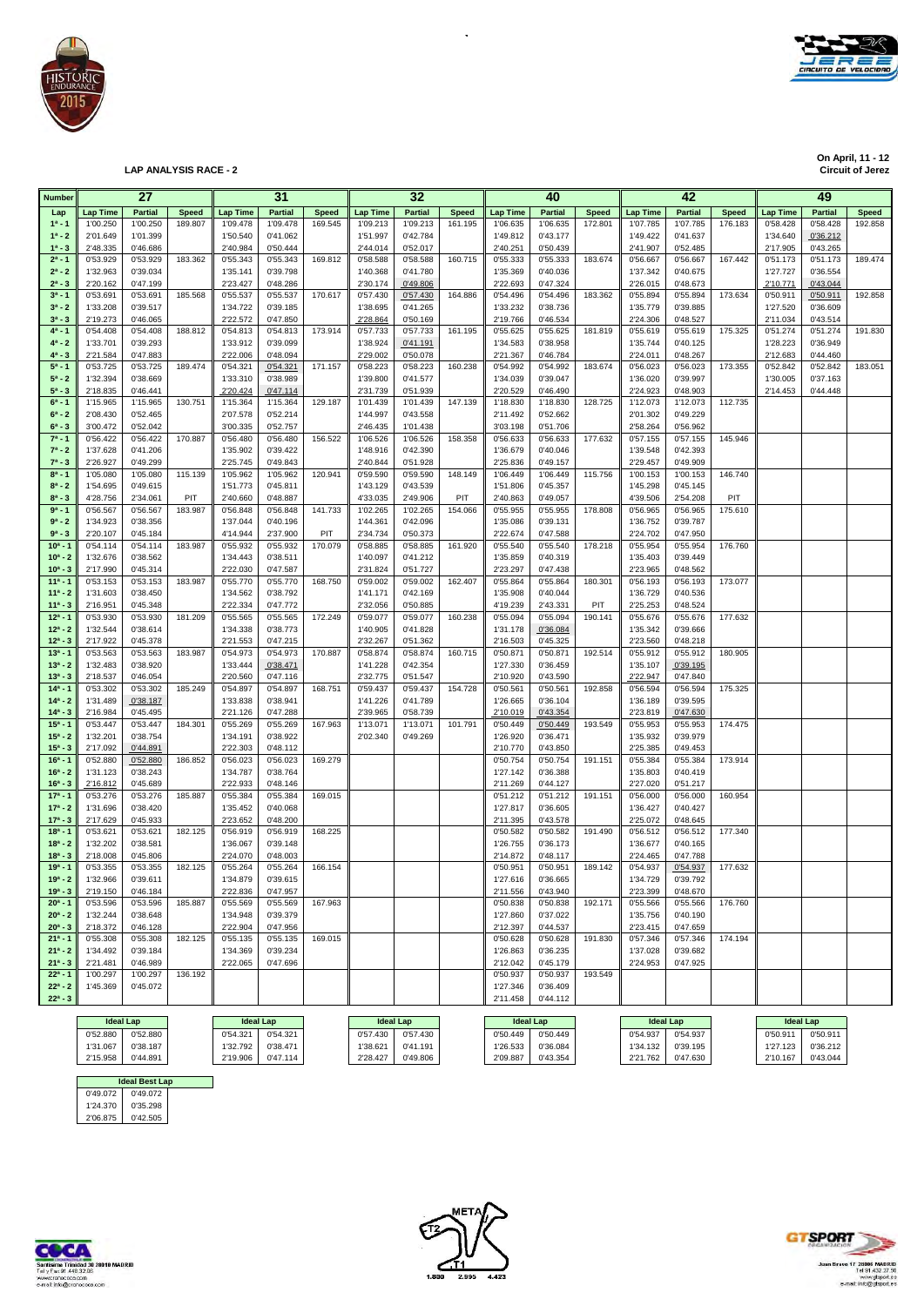

**On April, 11 - 12 On April, 11 - 12 Circuit of Jerez LAP ANALYSIS RACE - 2 Circuit of Jerez**

| Number                   |                      | 27                   |              |                      | 31                   |              |                      | 32                   |              |                      | 40                   |              |                      | 42                   |              |                      | 49                   |              |
|--------------------------|----------------------|----------------------|--------------|----------------------|----------------------|--------------|----------------------|----------------------|--------------|----------------------|----------------------|--------------|----------------------|----------------------|--------------|----------------------|----------------------|--------------|
| Lap                      | <b>Lap Time</b>      | <b>Partial</b>       | <b>Speed</b> | Lap Time             | <b>Partial</b>       | <b>Speed</b> | <b>Lap Time</b>      | <b>Partial</b>       | <b>Speed</b> | <b>Lap Time</b>      | <b>Partial</b>       | <b>Speed</b> | <b>Lap Time</b>      | <b>Partial</b>       | <b>Speed</b> | <b>Lap Time</b>      | <b>Partial</b>       | <b>Speed</b> |
| $1^a - 1$                | 1'00.250             | 1'00.250             | 189.807      | 1'09.478             | 1'09.478             | 169.545      | 1'09.213             | 1'09.213             | 161.195      | 1'06.635             | 1'06.635             | 172.801      | 1'07.785             | 1'07.785             | 176.183      | 0'58.428             | 0'58.428             | 192.858      |
| $1^a - 2$                | 2'01.649             | 1'01.399             |              | 1'50.540             | 0'41.062             |              | 1'51.997             | 0'42.784             |              | 1'49.812             | 0'43.177             |              | 1'49.422             | 0'41.637             |              | 1'34.640             | 0'36.212             |              |
| $1^a - 3$                | 2'48.335             | 0'46.686             |              | 2'40.984             | 0'50.444             |              | 2'44.014             | 0'52.017             |              | 2'40.251             | 0'50.439             |              | 2'41.907             | 0'52.485             |              | 2'17.905             | 0'43.265             |              |
| $2^a - 1$                | 0'53.929             | 0'53.929             | 183.362      | 0'55.343             | 0'55.343             | 169.812      | 0'58.588             | 0'58.588             | 160.715      | 0'55.333             | 0'55.333             | 183.674      | 0'56.667             | 0'56.667             | 167.442      | 0'51.173             | 0'51.173             | 189.474      |
| $2^a - 2$                | 1'32.963             | 0'39.034             |              | 1'35.141             | 0'39.798             |              | 1'40.368             | 0'41.780             |              | 1'35.369             | 0'40.036             |              | 1'37.342             | 0'40.675             |              | 1'27.727             | 0'36.554             |              |
| $2^a - 3$                | 2'20.162             | 0'47.199             |              | 2'23.427             | 0'48.286             |              | 2'30.174             | 0'49.806             |              | 2'22.693             | 0'47.324             |              | 2'26.015             | 0'48.673             |              | 2'10.771             | 0'43.044             |              |
| $3^{a} - 1$              | 0'53.691             | 0'53.691             | 185.568      | 0'55.537             | 0'55.537             | 170.617      | 0'57.430             | 0'57.430             | 164.886      | 0'54.496             | 0'54.496             | 183.362      | 0'55.894             | 0'55.894             | 173.634      | 0'50.911             | 0'50.911             | 192.858      |
| $3^a - 2$                | 1'33.208             | 0'39.517             |              | 1'34.722             | 0'39.185             |              | 1'38.695             | 0'41.265             |              | 1'33.232             | 0'38.736             |              | 1'35.779             | 0'39.885             |              | 1'27.520             | 0'36.609             |              |
| $3^{a} - 3$<br>$4^a - 1$ | 2'19.273<br>0'54.408 | 0'46.065<br>0'54.408 | 188.812      | 2'22.572<br>0'54.813 | 0'47.850<br>0'54.813 | 173.914      | 2'28.864<br>0'57.733 | 0'50.169<br>0'57.733 | 161.195      | 2'19.766<br>0'55.625 | 0'46.534<br>0'55.625 | 181.819      | 2'24.306<br>0'55.619 | 0'48.527<br>0'55.619 | 175.325      | 2'11.034<br>0'51.274 | 0'43.514<br>0'51.274 | 191.830      |
| $4^a - 2$                | 1'33.701             | 0'39.293             |              | 1'33.912             | 0'39.099             |              | 1'38.924             | 0'41.191             |              | 1'34.583             | 0'38.958             |              | 1'35.744             | 0'40.125             |              | 1'28.223             | 0'36.949             |              |
| $4^a - 3$                | 2'21.584             | 0'47.883             |              | 2'22.006             | 0'48.094             |              | 2'29.002             | 0'50.078             |              | 2'21.367             | 0'46.784             |              | 2'24.011             | 0'48.267             |              | 2'12.683             | 0'44.460             |              |
| $5^a - 1$                | 0'53.725             | 0'53.725             | 189.474      | 0'54.321             | 0'54.321             | 171.157      | 0'58.223             | 0'58.223             | 160.238      | 0'54.992             | 0'54.992             | 183.674      | 0'56.023             | 0'56.023             | 173.355      | 0'52.842             | 0'52.842             | 183.051      |
| $5^a - 2$                | 1'32.394             | 0'38.669             |              | 1'33.310             | 0'38.989             |              | 1'39.800             | 0'41.577             |              | 1'34.039             | 0'39.047             |              | 1'36.020             | 0'39.997             |              | 1'30.005             | 0'37.163             |              |
| $5^a - 3$                | 2'18.835             | 0'46.441             |              | 2'20.424             | 0'47.114             |              | 2'31.739             | 0'51.939             |              | 2'20.529             | 0'46.490             |              | 2'24.923             | 0'48.903             |              | 2'14.453             | 0'44.448             |              |
| $6^a - 1$                | 1'15.965             | 1'15.965             | 130.751      | 1'15.364             | 1'15.364             | 129.187      | 1'01.439             | 1'01.439             | 147.139      | 1'18.830             | 1'18.830             | 128.725      | 1'12.073             | 1'12.073             | 112.735      |                      |                      |              |
| $6^a - 2$                | 2'08.430             | 0'52.465             |              | 2'07.578             | 0'52.214             |              | 1'44.997             | 0'43.558             |              | 2'11.492             | 0'52.662             |              | 2'01.302             | 0'49.229             |              |                      |                      |              |
| $6^a - 3$                | 3'00.472             | 0'52.042             |              | 3'00.335             | 0'52.757             |              | 2'46.435             | 1'01.438             |              | 3'03.198             | 0'51.706             |              | 2'58.264             | 0'56.962             |              |                      |                      |              |
| $7^a - 1$<br>$7^a - 2$   | 0'56.422<br>1'37.628 | 0'56.422<br>0'41.206 | 170.887      | 0'56.480<br>1'35.902 | 0'56.480<br>0'39.422 | 156.522      | 1'06.526<br>1'48.916 | 1'06.526<br>0'42.390 | 158.358      | 0'56.633<br>1'36.679 | 0'56.633<br>0'40.046 | 177.632      | 0'57.155<br>1'39.548 | 0'57.155<br>0'42.393 | 145.946      |                      |                      |              |
| $7^a - 3$                | 2'26.927             | 0'49.299             |              | 2'25.745             | 0'49.843             |              | 2'40.844             | 0'51.928             |              | 2'25.836             | 0'49.157             |              | 2'29.457             | 0'49.909             |              |                      |                      |              |
| $8^a - 1$                | 1'05.080             | 1'05.080             | 115.139      | 1'05.962             | 1'05.962             | 120.941      | 0'59.590             | 0'59.590             | 148.149      | 1'06.449             | 1'06.449             | 115.756      | 1'00.153             | 1'00.153             | 146.740      |                      |                      |              |
| $8^a - 2$                | 1'54.695             | 0'49.615             |              | 1'51.773             | 0'45.811             |              | 1'43.129             | 0'43.539             |              | 1'51.806             | 0'45.357             |              | 1'45.298             | 0'45.145             |              |                      |                      |              |
| $8^a - 3$                | 4'28.756             | 2'34.061             | PIT          | 2'40.660             | 0'48.887             |              | 4'33.035             | 2'49.906             | PIT          | 2'40.863             | 0'49.057             |              | 4'39.506             | 2'54.208             | PIT          |                      |                      |              |
| $9a - 1$                 | 0'56.567             | 0'56.567             | 183.987      | 0'56.848             | 0'56.848             | 141.733      | 1'02.265             | 1'02.265             | 154.066      | 0'55.955             | 0'55.955             | 178.808      | 0'56.965             | 0'56.965             | 175.610      |                      |                      |              |
| $9^a - 2$                | 1'34.923             | 0'38.356             |              | 1'37.044             | 0'40.196             |              | 1'44.361             | 0'42.096             |              | 1'35.086             | 0'39.131             |              | 1'36.752             | 0'39.787             |              |                      |                      |              |
| $9^a - 3$                | 2'20.107             | 0'45.184             |              | 4'14.944             | 2'37.900             | PIT          | 2'34.734             | 0'50.373             |              | 2'22.674             | 0'47.588             |              | 2'24.702             | 0'47.950             |              |                      |                      |              |
| $10a - 1$                | 0'54.114             | 0'54.114             | 183.987      | 0'55.932             | 0'55.932             | 170.079      | 0'58.885             | 0'58.885             | 161.920      | 0'55.540             | 0'55.540             | 178.218      | 0'55.954             | 0'55.954             | 176.760      |                      |                      |              |
| $10^a - 2$               | 1'32.676             | 0'38.562             |              | 1'34.443<br>2'22.030 | 0'38.511             |              | 1'40.097             | 0'41.212             |              | 1'35.859<br>2'23.297 | 0'40.319             |              | 1'35.403             | 0'39.449             |              |                      |                      |              |
| $10^a - 3$<br>$11a - 1$  | 2'17.990<br>0'53.153 | 0'45.314<br>0'53.153 | 183.987      | 0'55.770             | 0'47.587<br>0'55.770 | 168.750      | 2'31.824<br>0'59.002 | 0'51.727<br>0'59.002 | 162.407      | 0'55.864             | 0'47.438<br>0'55.864 | 180.301      | 2'23.965<br>0'56.193 | 0'48.562<br>0'56.193 | 173.077      |                      |                      |              |
| $11a - 2$                | 1'31.603             | 0'38.450             |              | 1'34.562             | 0'38.792             |              | 1'41.171             | 0'42.169             |              | 1'35.908             | 0'40.044             |              | 1'36.729             | 0'40.536             |              |                      |                      |              |
| $11a - 3$                | 2'16.951             | 0'45.348             |              | 2'22.334             | 0'47.772             |              | 2'32.056             | 0'50.885             |              | 4'19.239             | 2'43.331             | PIT          | 2'25.253             | 0'48.524             |              |                      |                      |              |
| $12a - 1$                | 0'53.930             | 0'53.930             | 181.209      | 0'55.565             | 0'55.565             | 172.249      | 0'59.077             | 0'59.077             | 160.238      | 0'55.094             | 0'55.094             | 190.141      | 0'55.676             | 0'55.676             | 177.632      |                      |                      |              |
| $12^a - 2$               | 1'32.544             | 0'38.614             |              | 1'34.338             | 0'38.773             |              | 1'40.905             | 0'41.828             |              | 1'31.178             | 0'36.084             |              | 1'35.342             | 0'39.666             |              |                      |                      |              |
| $12^a - 3$               | 2'17.922             | 0'45.378             |              | 2'21.553             | 0'47.215             |              | 2'32.267             | 0'51.362             |              | 2'16.503             | 0'45.325             |              | 2'23.560             | 0'48.218             |              |                      |                      |              |
| $13a - 1$                | 0'53.563             | 0'53.563             | 183.987      | 0'54.973             | 0'54.973             | 170.887      | 0'58.874             | 0'58.874             | 160.715      | 0'50.871             | 0'50.871             | 192.514      | 0'55.912             | 0'55.912             | 180.905      |                      |                      |              |
| $13^a - 2$               | 1'32.483             | 0'38.920             |              | 1'33.444             | 0'38.471             |              | 1'41.228             | 0'42.354             |              | 1'27.330             | 0'36.459             |              | 1'35.107             | 0'39.195             |              |                      |                      |              |
| $13^a - 3$<br>$14a - 1$  | 2'18.537             | 0'46.054             | 185.249      | 2'20.560             | 0'47.116             |              | 2'32.775             | 0'51.547             |              | 2'10.920             | 0'43.590             |              | 2'22.947             | 0'47.840             |              |                      |                      |              |
| $14^a - 2$               | 0'53.302<br>1'31.489 | 0'53.302<br>0'38.187 |              | 0'54.897<br>1'33.838 | 0'54.897<br>0'38.941 | 168.751      | 0'59.437<br>1'41.226 | 0'59.437<br>0'41.789 | 154.728      | 0'50.561<br>1'26.665 | 0'50.561<br>0'36.104 | 192.858      | 0'56.594<br>1'36.189 | 0'56.594<br>0'39.595 | 175.325      |                      |                      |              |
| $14^a - 3$               | 2'16.984             | 0'45.495             |              | 2'21.126             | 0'47.288             |              | 2'39.965             | 0'58.739             |              | 2'10.019             | 0'43.354             |              | 2'23.819             | 0'47.630             |              |                      |                      |              |
| $15a - 1$                | 0'53.447             | 0'53.447             | 184.301      | 0'55.269             | 0'55.269             | 167.963      | 1'13.071             | 1'13.071             | 101.791      | 0'50.449             | 0'50.449             | 193.549      | 0'55.953             | 0'55.953             | 174.475      |                      |                      |              |
| $15^a - 2$               | 1'32.201             | 0'38.754             |              | 1'34.191             | 0'38.922             |              | 2'02.340             | 0'49.269             |              | 1'26.920             | 0'36.471             |              | 1'35.932             | 0'39.979             |              |                      |                      |              |
| $15^a - 3$               | 2'17.092             | 0'44.891             |              | 2'22.303             | 0'48.112             |              |                      |                      |              | 2'10.770             | 0'43.850             |              | 2'25.385             | 0'49.453             |              |                      |                      |              |
| $16^a - 1$               | 0'52.880             | 0'52.880             | 186.852      | 0'56.023             | 0'56.023             | 169.279      |                      |                      |              | 0'50.754             | 0'50.754             | 191.151      | 0'55.384             | 0'55.384             | 173.914      |                      |                      |              |
| $16^a - 2$               | 1'31.123             | 0'38.243             |              | 1'34.787             | 0'38.764             |              |                      |                      |              | 1'27.142             | 0'36.388             |              | 1'35.803             | 0'40.419             |              |                      |                      |              |
| $16a - 3$                | 2'16.812             | 0'45.689             |              | 2'22.933             | 0'48.146             |              |                      |                      |              | 2'11.269             | 0'44.127             |              | 2'27.020             | 0'51.217             |              |                      |                      |              |
| $17a - 1$                | 0'53.276             | 0'53.276             | 185.887      | 0'55.384             | 0'55.384             | 169.015      |                      |                      |              | 0'51.212             | 0'51.212             | 191.151      | 0'56.000<br>1'36.427 | 0'56.000             | 160.954      |                      |                      |              |
| $17a - 2$<br>$17^a - 3$  | 1'31.696<br>2'17.629 | 0'38.420<br>0'45.933 |              | 1'35.452<br>2'23.652 | 0'40.068<br>0'48.200 |              |                      |                      |              | 1'27.817<br>2'11.395 | 0'36.605<br>0'43.578 |              | 2'25.072             | 0'40.427<br>0'48.645 |              |                      |                      |              |
| $18a - 1$                | 0'53.621             | 0'53.621             | 182.125      | 0'56.919             | 0'56.919             | 168.225      |                      |                      |              | 0'50.582             | 0'50.582             | 191.490      | 0'56.512             | 0'56.512             | 177.340      |                      |                      |              |
| $18a - 2$                | 1'32.202             | 0'38.581             |              | 1'36.067             | 0'39.148             |              |                      |                      |              | 1'26.755             | 0'36.173             |              | 1'36.677             | 0'40.165             |              |                      |                      |              |
| $18a - 3$                | 2'18,008             | 0'45.806             |              | 2'24.070             | 0'48,003             |              |                      |                      |              | 2'14.872             | 0'48.117             |              | 2'24.465             | 0'47.788             |              |                      |                      |              |
| $19a - 1$                | 0'53.355             | 0'53.355             | 182.125      | 0'55.264             | 0'55.264             | 166.154      |                      |                      |              | 0'50.951             | 0'50.951             | 189.142      | 0'54.937             | 0'54.937             | 177.632      |                      |                      |              |
| $19a - 2$                | 1'32.966             | 0'39.611             |              | 1'34.879             | 0'39.615             |              |                      |                      |              | 1'27.616             | 0'36.665             |              | 1'34.729             | 0'39.792             |              |                      |                      |              |
| $19a - 3$                | 2'19.150             | 0'46.184             |              | 2'22.836             | 0'47.957             |              |                      |                      |              | 2'11.556             | 0'43.940             |              | 2'23.399             | 0'48.670             |              |                      |                      |              |
| $20^a - 1$               | 0'53.596             | 0'53.596             | 185.887      | 0'55.569             | 0'55.569             | 167.963      |                      |                      |              | 0'50.838             | 0'50.838             | 192.171      | 0'55.566             | 0'55.566             | 176.760      |                      |                      |              |
| $20^a - 2$               | 1'32.244             | 0'38.648             |              | 1'34.948             | 0'39.379             |              |                      |                      |              | 1'27.860             | 0'37.022             |              | 1'35.756             | 0'40.190             |              |                      |                      |              |
| $20^a - 3$<br>$21a - 1$  | 2'18.372<br>0'55.308 | 0'46.128<br>0'55.308 | 182.125      | 2'22.904<br>0'55.135 | 0'47.956<br>0'55.135 | 169.015      |                      |                      |              | 2'12.397<br>0'50.628 | 0'44.537<br>0'50.628 | 191.830      | 2'23.415<br>0'57.346 | 0'47.659<br>0'57.346 | 174.194      |                      |                      |              |
| $21^a - 2$               | 1'34.492             | 0'39.184             |              | 1'34.369             | 0'39.234             |              |                      |                      |              | 1'26.863             | 0'36.235             |              | 1'37.028             | 0'39.682             |              |                      |                      |              |
| $21^a - 3$               | 2'21.481             | 0'46.989             |              | 2'22.065             | 0'47.696             |              |                      |                      |              | 2'12.042             | 0'45.179             |              | 2'24.953             | 0'47.925             |              |                      |                      |              |
| $22^a - 1$               | 1'00.297             | 1'00.297             | 136.192      |                      |                      |              |                      |                      |              | 0'50.937             | 0'50.937             | 193.549      |                      |                      |              |                      |                      |              |
| $22^a - 2$               | 1'45.369             | 0'45.072             |              |                      |                      |              |                      |                      |              | 1'27.346             | 0'36.409             |              |                      |                      |              |                      |                      |              |
| $22^a - 3$               |                      |                      |              |                      |                      |              |                      |                      |              | 2'11.458             | 0'44.112             |              |                      |                      |              |                      |                      |              |
|                          |                      |                      |              |                      |                      |              |                      |                      |              |                      |                      |              |                      |                      |              |                      |                      |              |

 $\overline{\phantom{a}}$ 

|          | <b>Ideal Lap</b>      |  |          | <b>Ideal Lap</b> |          | <b>Ideal Lap</b> | <b>Ideal Lap</b> |          |          | <b>Ideal Lap</b> |          | <b>Ideal Lap</b> |
|----------|-----------------------|--|----------|------------------|----------|------------------|------------------|----------|----------|------------------|----------|------------------|
| 0'52.880 | 0'52.880              |  | 0'54.321 | 0'54.321         | 0'57.430 | 0'57.430         | 0'50.449         | 0'50.449 | 0'54.937 | 0'54.937         | 0'50.91' | 0'50.911         |
| 1'31.067 | 0'38.187              |  | 1'32.792 | 0'38.471         | 1'38.621 | 0'41.191         | 1'26.533         | 0'36.084 | 1'34.132 | 0'39.195         | 1'27.123 | 0'36.212         |
| 2'15.958 | 0'44.891              |  | 2'19.906 | 0'47.114         | 2'28.427 | 0'49.806         | 2'09.887         | 0'43.354 | 2'21.762 | 0'47.630         | 2'10.167 | 0'43.044         |
|          |                       |  |          |                  |          |                  |                  |          |          |                  |          |                  |
|          | <b>Ideal Best Lan</b> |  |          |                  |          |                  |                  |          |          |                  |          |                  |

 0'49.072 1'24.370 0'49.072 0'49.072 1'24.370 0'35.298 2'06.875 2'06.875 0'42.505 **IDEAL**<br>0'49.072<br>0'35.298





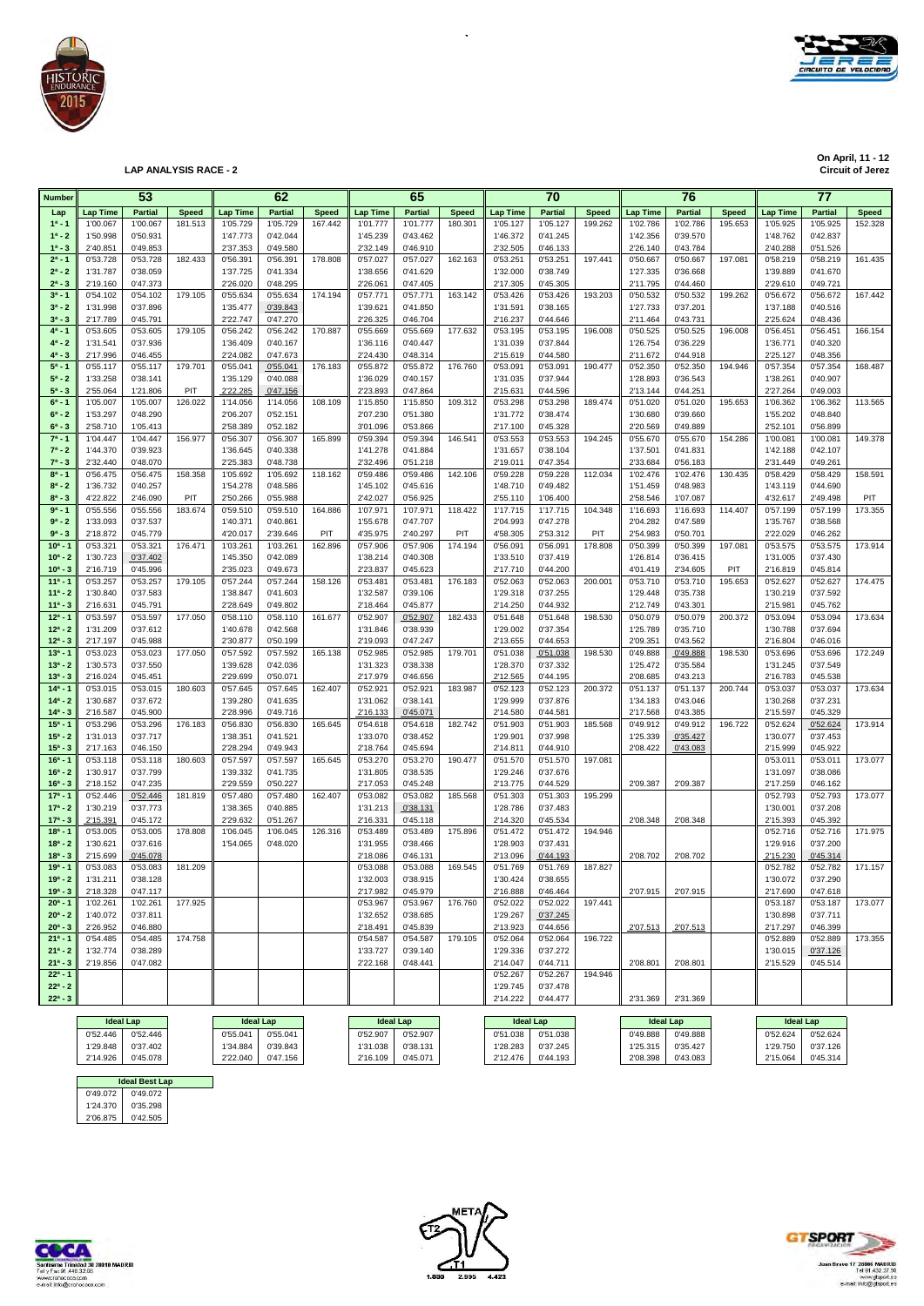

**On April, 11 - 12 On April, 11 - 12 Circuit of Jerez LAP ANALYSIS RACE - 2 Circuit of Jerez**

| <b>Number</b>            |                      | 53                   |                |                      | 62                   |              |                      | 65                   |              |                               | 70                   |              |                      | 76                   |              |                      | 77                   |              |
|--------------------------|----------------------|----------------------|----------------|----------------------|----------------------|--------------|----------------------|----------------------|--------------|-------------------------------|----------------------|--------------|----------------------|----------------------|--------------|----------------------|----------------------|--------------|
| Lap                      | <b>Lap Time</b>      | <b>Partial</b>       | <b>Speed</b>   | <b>Lap Time</b>      | <b>Partial</b>       | <b>Speed</b> | <b>Lap Time</b>      | <b>Partial</b>       | <b>Speed</b> | <b>Lap Time</b>               | <b>Partial</b>       | <b>Speed</b> | <b>Lap Time</b>      | <b>Partial</b>       | <b>Speed</b> | <b>Lap Time</b>      | <b>Partial</b>       | <b>Speed</b> |
| $1^a - 1$                | 1'00.067             | 1'00.067             | 181.513        | 1'05.729             | 1'05.729             | 167.442      | 1'01.777             | 1'01.777             | 180.301      | 1'05.127                      | 1'05.127             | 199.262      | 1'02.786             | 1'02.786             | 195.653      | 1'05.925             | 1'05.925             | 152.328      |
| $1^a - 2$                | 1'50.998             | 0'50.931             |                | 1'47.773             | 0'42.044             |              | 1'45.239             | 0'43.462             |              | 1'46.372                      | 0'41.245             |              | 1'42.356             | 0'39.570             |              | 1'48.762             | 0'42.837             |              |
| $1^a - 3$<br>$2^a - 1$   | 2'40.851<br>0'53.728 | 0'49.853<br>0'53.728 | 182.433        | 2'37.353             | 0'49.580<br>0'56.391 | 178.808      | 2'32.149             | 0'46.910<br>0'57.027 | 162.163      | 2'32.505<br>0'53.251          | 0'46.133<br>0'53.251 | 197.441      | 2'26.140<br>0'50.667 | 0'43.784<br>0'50.667 | 197.081      | 2'40.288             | 0'51.526<br>0'58.219 | 161.435      |
| $2^a - 2$                | 1'31.787             | 0'38.059             |                | 0'56.391<br>1'37.725 | 0'41.334             |              | 0'57.027<br>1'38.656 | 0'41.629             |              | 1'32.000                      | 0'38.749             |              | 1'27.335             | 0'36.668             |              | 0'58.219<br>1'39.889 | 0'41.670             |              |
| $2^a - 3$                | 2'19.160             | 0'47.373             |                | 2'26.020             | 0'48.295             |              | 2'26.061             | 0'47.405             |              | 2'17.305                      | 0'45.305             |              | 2'11.795             | 0'44.460             |              | 2'29.610             | 0'49.721             |              |
| $3^{a} - 1$              | 0'54.102             | 0'54.102             | 179.105        | 0'55.634             | 0'55.634             | 174.194      | 0'57.771             | 0'57.771             | 163.142      | 0'53.426                      | 0'53.426             | 193.203      | 0'50.532             | 0'50.532             | 199.262      | 0'56.672             | 0'56.672             | 167.442      |
| $3^a - 2$                | 1'31.998             | 0'37.896             |                | 1'35.477             | 0'39.843             |              | 1'39.621             | 0'41.850             |              | 1'31.591                      | 0'38.165             |              | 1'27.733             | 0'37.201             |              | 1'37.188             | 0'40.516             |              |
| $3^{a} - 3$<br>$4^a - 1$ | 2'17.789<br>0'53.605 | 0'45.791<br>0'53.605 | 179.105        | 2'22.747<br>0'56.242 | 0'47.270<br>0'56.242 | 170.887      | 2'26.325<br>0'55.669 | 0'46.704<br>0'55.669 | 177.632      | 2'16.237<br>0'53.195          | 0'44.646<br>0'53.195 | 196.008      | 2'11.464<br>0'50.525 | 0'43.731<br>0'50.525 | 196.008      | 2'25.624<br>0'56.451 | 0'48.436<br>0'56.451 | 166.154      |
| $4^a - 2$                | 1'31.541             | 0'37.936             |                | 1'36.409             | 0'40.167             |              | 1'36.116             | 0'40.447             |              | 1'31.039                      | 0'37.844             |              | 1'26.754             | 0'36.229             |              | 1'36.771             | 0'40.320             |              |
| $4^a - 3$                | 2'17.996             | 0'46.455             |                | 2'24.082             | 0'47.673             |              | 2'24.430             | 0'48.314             |              | 2'15.619                      | 0'44.580             |              | 2'11.672             | 0'44.918             |              | 2'25.127             | 0'48.356             |              |
| $5^a - 1$                | 0'55.117             | 0'55.117             | 179.701        | 0'55.041             | 0'55.041             | 176.183      | 0'55.872             | 0'55.872             | 176.760      | 0'53.091                      | 0'53.091             | 190.477      | 0'52.350             | 0'52.350             | 194.946      | 0'57.354             | 0'57.354             | 168,487      |
| $5^a - 2$                | 1'33.258             | 0'38.141             |                | 1'35.129             | 0'40.088             |              | 1'36.029             | 0'40.157             |              | 1'31.035                      | 0'37.944             |              | 1'28.893             | 0'36.543             |              | 1'38.261             | 0'40.907             |              |
| $5^a - 3$<br>$6^a - 1$   | 2'55.064<br>1'05.007 | 1'21.806<br>1'05.007 | PIT<br>126.022 | 2'22.285<br>1'14.056 | 0'47.156<br>1'14.056 | 108.109      | 2'23.893<br>1'15.850 | 0'47.864<br>1'15.850 | 109.312      | 2'15.631<br>0'53.298          | 0'44.596<br>0'53.298 | 189.474      | 2'13.144<br>0'51.020 | 0'44.251<br>0'51.020 | 195.653      | 2'27.264<br>1'06.362 | 0'49.003<br>1'06.362 | 113.565      |
| $6^a - 2$                | 1'53.297             | 0'48.290             |                | 2'06.207             | 0'52.151             |              | 2'07.230             | 0'51.380             |              | 1'31.772                      | 0'38.474             |              | 1'30.680             | 0'39.660             |              | 1'55.202             | 0'48.840             |              |
| $6^a - 3$                | 2'58.710             | 1'05.413             |                | 2'58.389             | 0'52.182             |              | 3'01.096             | 0'53.866             |              | 2'17.100                      | 0'45.328             |              | 2'20.569             | 0'49.889             |              | 2'52.101             | 0'56.899             |              |
| $7^a - 1$                | 1'04.447             | 1'04.447             | 156.977        | 0'56.307             | 0'56.307             | 165.899      | 0'59.394             | 0'59.394             | 146.541      | 0'53.553                      | 0'53.553             | 194.245      | 0'55.670             | 0'55.670             | 154.286      | 1'00.081             | 1'00.081             | 149.378      |
| $7^a - 2$<br>$7^a - 3$   | 1'44.370<br>2'32.440 | 0'39.923<br>0'48.070 |                | 1'36.645<br>2'25.383 | 0'40.338<br>0'48.738 |              | 1'41.278<br>2'32.496 | 0'41.884<br>0'51.218 |              | 1'31.657<br>2'19.011          | 0'38.104<br>0'47.354 |              | 1'37.501<br>2'33.684 | 0'41.831<br>0'56.183 |              | 1'42.188<br>2'31.449 | 0'42.107<br>0'49.261 |              |
| $8^{a} - 1$              | 0'56.475             | 0'56.475             | 158.358        | 1'05.692             | 1'05.692             | 118.162      | 0'59.486             | 0'59.486             | 142.106      | 0'59.228                      | 0'59.228             | 112.034      | 1'02.476             | 1'02.476             | 130.435      | 0'58.429             | 0'58.429             | 158.591      |
| $8^a - 2$                | 1'36.732             | 0'40.257             |                | 1'54.278             | 0'48.586             |              | 1'45.102             | 0'45.616             |              | 1'48.710                      | 0'49.482             |              | 1'51.459             | 0'48.983             |              | 1'43.119             | 0'44.690             |              |
| $8^a - 3$                | 4'22.822             | 2'46.090             | PIT            | 2'50.266             | 0'55.988             |              | 2'42.027             | 0'56.925             |              | 2'55.110                      | 1'06.400             |              | 2'58.546             | 1'07.087             |              | 4'32.617             | 2'49.498             | PIT          |
| $9a - 1$                 | 0'55.556             | 0'55.556             | 183.674        | 0'59.510             | 0'59.510             | 164.886      | 1'07.971             | 1'07.971             | 118.422      | 1'17.715                      | 1'17.715             | 104.348      | 1'16.693             | 1'16.693             | 114.407      | 0'57.199             | 0'57.199             | 173.355      |
| $9^a - 2$<br>$9^a - 3$   | 1'33.093<br>2'18.872 | 0'37.537<br>0'45.779 |                | 1'40.371<br>4'20.017 | 0'40.861<br>2'39.646 | PIT          | 1'55.678<br>4'35.975 | 0'47.707<br>2'40.297 | PIT          | 2'04.993<br>4'58.305          | 0'47.278<br>2'53.312 | PIT          | 2'04.282<br>2'54.983 | 0'47.589<br>0'50.701 |              | 1'35.767<br>2'22.029 | 0'38.568<br>0'46.262 |              |
| $10a - 1$                | 0'53.321             | 0'53.321             | 176.471        | 1'03.261             | 1'03.261             | 162.896      | 0'57.906             | 0'57.906             | 174.194      | 0'56.091                      | 0'56.091             | 178.808      | 0'50.399             | 0'50.399             | 197.081      | 0'53.575             | 0'53.575             | 173.914      |
| $10^a - 2$               | 1'30.723             | 0'37.402             |                | 1'45.350             | 0'42.089             |              | 1'38.214             | 0'40.308             |              | 1'33.510                      | 0'37.419             |              | 1'26.814             | 0'36.415             |              | 1'31.005             | 0'37.430             |              |
| $10^a - 3$               | 2'16.719             | 0'45.996             |                | 2'35.023             | 0'49.673             |              | 2'23.837             | 0'45.623             |              | 2'17.710                      | 0'44.200             |              | 4'01.419             | 2'34.605             | PIT          | 2'16.819             | 0'45.814             |              |
| $11a - 1$<br>$11a - 2$   | 0'53.257<br>1'30.840 | 0'53.257<br>0'37.583 | 179.105        | 0'57.244<br>1'38.847 | 0'57.244<br>0'41.603 | 158.126      | 0'53.481<br>1'32.587 | 0'53.481<br>0'39.106 | 176.183      | 0'52.063<br>1'29.318          | 0'52.063<br>0'37.255 | 200.001      | 0'53.710<br>1'29.448 | 0'53.710<br>0'35.738 | 195.653      | 0'52.627<br>1'30.219 | 0'52.627<br>0'37.592 | 174.475      |
| $11^a - 3$               | 2'16.631             | 0'45.791             |                | 2'28.649             | 0'49.802             |              | 2'18.464             | 0'45.877             |              | 2'14.250                      | 0'44.932             |              | 2'12.749             | 0'43.301             |              | 2'15.981             | 0'45.762             |              |
| $12^a - 1$               | 0'53.597             | 0'53.597             | 177.050        | 0'58.110             | 0'58.110             | 161.677      | 0'52.907             | 0'52.907             | 182.433      | 0'51.648                      | 0'51.648             | 198.530      | 0'50.079             | 0'50.079             | 200.372      | 0'53.094             | 0'53.094             | 173.634      |
| $12^a - 2$               | 1'31.209             | 0'37.612             |                | 1'40.678             | 0'42.568             |              | 1'31.846             | 0'38.939             |              | 1'29.002                      | 0'37.354             |              | 1'25.789             | 0'35.710             |              | 1'30.788             | 0'37.694             |              |
| $12^a - 3$<br>$13a - 1$  | 2'17.197             | 0'45.988             |                | 2'30.877             | 0'50.199             | 165.138      | 2'19.093             | 0'47.247             |              | 2'13.655                      | 0'44.653             | 198.530      | 2'09.351             | 0'43.562             | 198.530      | 2'16.804             | 0'46.016             | 172.249      |
| $13^a - 2$               | 0'53.023<br>1'30.573 | 0'53.023<br>0'37.550 | 177.050        | 0'57.592<br>1'39.628 | 0'57.592<br>0'42.036 |              | 0'52.985<br>1'31.323 | 0'52.985<br>0'38.338 | 179.701      | 0'51.038<br>1'28.370          | 0'51.038<br>0'37.332 |              | 0'49.888<br>1'25.472 | 0'49.888<br>0'35.584 |              | 0'53.696<br>1'31.245 | 0'53.696<br>0'37.549 |              |
| $13^a - 3$               | 2'16.024             | 0'45.451             |                | 2'29.699             | 0'50.071             |              | 2'17.979             | 0'46.656             |              | 2'12.565                      | 0'44.195             |              | 2'08.685             | 0'43.213             |              | 2'16.783             | 0'45.538             |              |
| $14a - 1$                | 0'53.015             | 0'53.015             | 180.603        | 0'57.645             | 0'57.645             | 162.407      | 0'52.921             | 0'52.921             | 183.987      | 0'52.123                      | 0'52.123             | 200.372      | 0'51.137             | 0'51.137             | 200.744      | 0'53.037             | 0'53.037             | 173.634      |
| $14^a - 2$               | 1'30.687             | 0'37.672             |                | 1'39.280             | 0'41.635             |              | 1'31.062             | 0'38.141             |              | 1'29.999                      | 0'37.876             |              | 1'34.183             | 0'43.046             |              | 1'30.268             | 0'37.231             |              |
| $14^a - 3$<br>$15a - 1$  | 2'16.587<br>0'53.296 | 0'45.900<br>0'53.296 | 176.183        | 2'28.996<br>0'56.830 | 0'49.716<br>0'56.830 | 165.645      | 2'16.133<br>0'54.618 | 0'45.071<br>0'54.618 | 182.742      | 2'14.580<br>0'51.903          | 0'44.581<br>0'51.903 | 185.568      | 2'17.568<br>0'49.912 | 0'43.385<br>0'49.912 | 196.722      | 2'15.597<br>0'52.624 | 0'45.329<br>0'52.624 | 173.914      |
| $15^a - 2$               | 1'31.013             | 0'37.717             |                | 1'38.351             | 0'41.521             |              | 1'33.070             | 0'38.452             |              | 1'29.901                      | 0'37.998             |              | 1'25.339             | 0'35.427             |              | 1'30.077             | 0'37.453             |              |
| $15^{a} - 3$             | 2'17.163             | 0'46.150             |                | 2'28.294             | 0'49.943             |              | 2'18.764             | 0'45.694             |              | 2'14.811                      | 0'44.910             |              | 2'08.422             | 0'43.083             |              | 2'15.999             | 0'45.922             |              |
| $16a - 1$                | 0'53.118             | 0'53.118             | 180.603        | 0'57.597             | 0'57.597             | 165.645      | 0'53.270             | 0'53.270             | 190.477      | 0'51.570                      | 0'51.570             | 197.081      |                      |                      |              | 0'53.011             | 0'53.011             | 173.077      |
| $16^a - 2$<br>$16^a - 3$ | 1'30.917<br>2'18.152 | 0'37.799<br>0'47.235 |                | 1'39.332<br>2'29.559 | 0'41.735<br>0'50.227 |              | 1'31.805<br>2'17.053 | 0'38.535<br>0'45.248 |              | 1'29.246<br>2'13.775          | 0'37.676<br>0'44.529 |              | 2'09.387             | 2'09.387             |              | 1'31.097<br>2'17.259 | 0'38.086<br>0'46.162 |              |
| $17a - 1$                | 0'52.446             | 0'52.446             | 181.819        | 0'57.480             | 0'57.480             | 162.407      | 0'53.082             | 0'53.082             | 185.568      | 0'51.303                      | 0'51.303             | 195.299      |                      |                      |              | 0'52.793             | 0'52.793             | 173.077      |
| $17^a - 2$               | 1'30.219             | 0'37.773             |                | 1'38.365             | 0'40.885             |              | 1'31.213             | 0'38.131             |              | 1'28.786                      | 0'37.483             |              |                      |                      |              | 1'30.001             | 0'37.208             |              |
| $17^a - 3$               | 2'15.391             | 0'45.172             |                | 2'29.632             | 0'51.267             |              | 2'16.331             | 0'45.118             |              | 2'14.320                      | 0'45.534             |              | 2'08.348             | 2'08.348             |              | 2'15.393             | 0'45.392             |              |
| $18a - 1$<br>$18a - 2$   | 0'53.005<br>1'30.621 | 0'53.005<br>0'37.616 | 178.808        | 1'06.045<br>1'54.065 | 1'06.045<br>0'48.020 | 126.316      | 0'53.489<br>1'31.955 | 0'53.489<br>0'38.466 | 175.896      | 0'51.472<br>1'28.903          | 0'51.472<br>0'37.431 | 194.946      |                      |                      |              | 0'52.716<br>1'29.916 | 0'52.716<br>0'37.200 | 171.975      |
| $18a - 3$                | 2'15.699             | 0'45.078             |                |                      |                      |              | 2'18.086             | 0'46.131             |              | 2'13.096                      | 0'44.193             |              | 2'08.702             | 2'08.702             |              | 2'15.230             | 0'45.314             |              |
| $19a - 1$                | 0'53.083             | 0'53.083             | 181.209        |                      |                      |              | 0'53.088             | 0'53.088             | 169.545      | 0'51.769                      | 0'51.769             | 187.827      |                      |                      |              | 0'52.782             | 0'52.782             | 171.157      |
| $19a - 2$                | 1'31.211             | 0'38.128             |                |                      |                      |              | 1'32.003             | 0'38.915             |              | 1'30.424                      | 0'38.655             |              |                      |                      |              | 1'30.072             | 0'37.290             |              |
| $19a - 3$<br>$20^a - 1$  | 2'18.328<br>1'02.261 | 0'47.117<br>1'02.261 | 177.925        |                      |                      |              | 2'17.982<br>0'53.967 | 0'45.979<br>0'53.967 | 176.760      | 2'16.888<br>0'52.022          | 0'46.464<br>0'52.022 | 197.441      | 2'07.915             | 2'07.915             |              | 2'17.690<br>0'53.187 | 0'47.618<br>0'53.187 | 173.077      |
| $20^a - 2$               | 1'40.072             | 0'37.811             |                |                      |                      |              | 1'32.652             | 0'38.685             |              | 1'29.267                      | 0'37.245             |              |                      |                      |              | 1'30.898             | 0'37.711             |              |
| $20^a - 3$               | 2'26.952             | 0'46.880             |                |                      |                      |              | 2'18.491             | 0'45.839             |              | 2'13.923                      | 0'44.656             |              | 2'07.513             | 2'07.513             |              | 2'17.297             | 0'46.399             |              |
| $21^a - 1$               | 0'54.485             | 0'54.485             | 174.758        |                      |                      |              | 0'54.587             | 0'54.587             | 179.105      | 0'52.064                      | 0'52.064             | 196.722      |                      |                      |              | 0'52.889             | 0'52.889             | 173.355      |
| $21^a - 2$               | 1'32.774             | 0'38.289             |                |                      |                      |              | 1'33.727             | 0'39.140             |              | 1'29.336                      | 0'37.272             |              |                      |                      |              | 1'30.015             | 0'37.126             |              |
| $21^a - 3$<br>$22^a - 1$ | 2'19.856             | 0'47.082             |                |                      |                      |              | 2'22.168             | 0'48.441             |              | 2'14.047<br>0'52.267          | 0'44.711<br>0'52.267 | 194.946      | 2'08.801             | 2'08.801             |              | 2'15.529             | 0'45.514             |              |
| $22^a - 2$               |                      |                      |                |                      |                      |              |                      |                      |              | 1'29.745                      | 0'37.478             |              |                      |                      |              |                      |                      |              |
| $22^a - 3$               |                      |                      |                |                      |                      |              |                      |                      |              | 2'14.222                      | 0'44.477             |              | 2'31.369             | 2'31.369             |              |                      |                      |              |
|                          |                      | <b>Ideal Low</b>     |                |                      |                      |              | <b>Island Low</b>    |                      |              | and the following the company |                      |              |                      | <b>Island Low</b>    |              |                      |                      |              |

 $\overline{\phantom{a}}$ 

|          | <b>Ideal Lap</b>      |          | <b>Ideal Lap</b> |  | <b>Ideal Lap</b> |          | <b>Ideal Lap</b> |          | <b>Ideal Lap</b> |          |          | <b>Ideal Lap</b> |
|----------|-----------------------|----------|------------------|--|------------------|----------|------------------|----------|------------------|----------|----------|------------------|
| 0'52.446 | 0'52.446              | 0'55.041 | 0'55.041         |  | 0'52.907         | 0'52.907 | 0'51.038         | 0'51.038 | 0'49.888         | 0'49.888 | 0'52.624 | 0'52.624         |
| '29.848  | 0'37.402              | 1'34.884 | 0'39.843         |  | 1'31.038         | 0'38.131 | '28.283          | 0'37.245 | 1'25.315         | 0'35.427 | 1'29.750 | 0'37.126         |
| 2'14.926 | 0'45.078              | 2'22.040 | 0'47.156         |  | 2'16.109         | 0'45.071 | 2'12.476         | 0'44.193 | 2'08.398         | 0'43.083 | 2'15.064 | 0'45.314         |
|          |                       |          |                  |  |                  |          |                  |          |                  |          |          |                  |
|          | <b>Ideal Best Lap</b> |          |                  |  |                  |          |                  |          |                  |          |          |                  |

 0'49.072 1'24.370 0'49.072 0'49.072 1'24.370 0'35.298 2'06.875 2'06.875 0'42.505 **Ideal Best Lap**<br>0'49.072<br>0'35.298





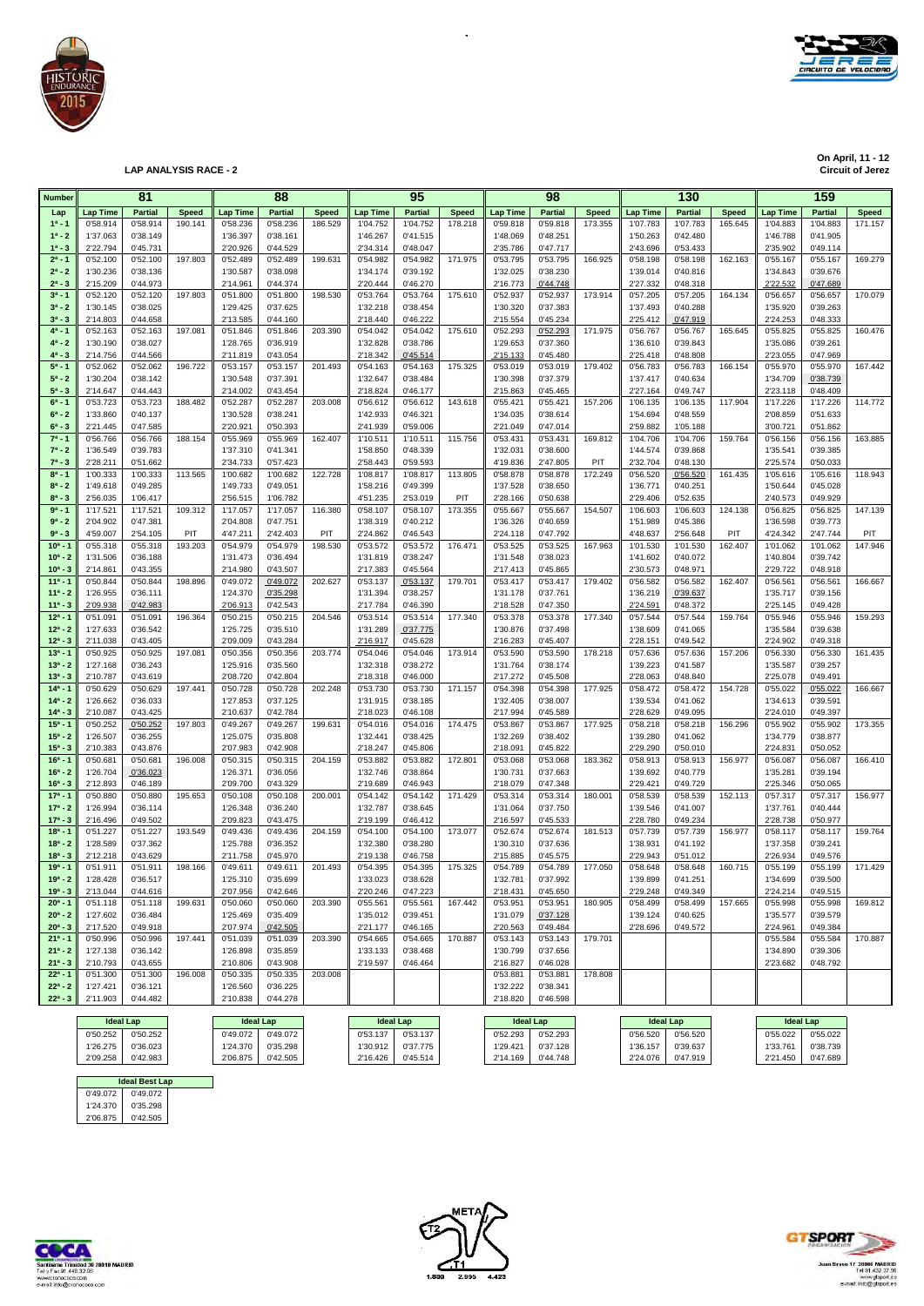

**On April, 11 - 12 On April, 11 - 12 Circuit of Jerez LAP ANALYSIS RACE - 2 Circuit of Jerez**

| Number                    |                      | 81                   |              |                      | 88                   |              |                      | 95                   |              |                      | 98                   |              |                      | 130                  |              |                      | 159                  |              |
|---------------------------|----------------------|----------------------|--------------|----------------------|----------------------|--------------|----------------------|----------------------|--------------|----------------------|----------------------|--------------|----------------------|----------------------|--------------|----------------------|----------------------|--------------|
| Lap                       | <b>Lap Time</b>      | <b>Partial</b>       | <b>Speed</b> | <b>Lap Time</b>      | <b>Partial</b>       | <b>Speed</b> | <b>Lap Time</b>      | <b>Partial</b>       | <b>Speed</b> | <b>Lap Time</b>      | <b>Partial</b>       | <b>Speed</b> | <b>Lap Time</b>      | <b>Partial</b>       | <b>Speed</b> | <b>Lap Time</b>      | Partial              | <b>Speed</b> |
| $1^a - 1$                 | 0'58.914             | 0'58.914             | 190.141      | 0'58.236             | 0'58.236             | 186.529      | 1'04.752             | 1'04.752             | 178.218      | 0'59.818             | 0'59.818             | 173.355      | 1'07.783             | 1'07.783             | 165.645      | 1'04.883             | 1'04.883             | 171.157      |
| $1^a - 2$                 | 1'37.063             | 0'38.149             |              | 1'36.397             | 0'38.161             |              | 1'46.267             | 0'41.515             |              | 1'48.069             | 0'48.251             |              | 1'50.263             | 0'42.480             |              | 1'46.788             | 0'41.905             |              |
| $1^a - 3$                 | 2'22.794             | 0'45.731             |              | 2'20.926             | 0'44.529             |              | 2'34.314             | 0'48.047             |              | 2'35.786             | 0'47.717             |              | 2'43.696             | 0'53.433             |              | 2'35.902             | 0'49.114             |              |
| $2^a - 1$                 | 0'52.100             | 0'52.100             | 197.803      | 0'52.489             | 0'52.489             | 199.631      | 0'54.982             | 0'54.982             | 171.975      | 0'53.795             | 0'53.795             | 166.925      | 0'58.198             | 0'58.198             | 162.163      | 0'55.167             | 0'55.167             | 169.279      |
| $2^a - 2$<br>$2^a - 3$    | 1'30.236<br>2'15.209 | 0'38.136<br>0'44.973 |              | 1'30.587<br>2'14.961 | 0'38.098<br>0'44.374 |              | 1'34.174<br>2'20.444 | 0'39.192<br>0'46.270 |              | 1'32.025<br>2'16.773 | 0'38.230<br>0'44.748 |              | 1'39.014<br>2'27.332 | 0'40.816<br>0'48.318 |              | 1'34.843<br>2'22.532 | 0'39.676<br>0'47.689 |              |
| $3^{a} - 1$               | 0'52.120             | 0'52.120             | 197.803      | 0'51.800             | 0'51.800             | 198.530      | 0'53.764             | 0'53.764             | 175.610      | 0'52.937             | 0'52.937             | 173.914      | 0'57.205             | 0'57.205             | 164.134      | 0'56.657             | 0'56.657             | 170.079      |
| $3^a - 2$                 | 1'30.145             | 0'38.025             |              | 1'29.425             | 0'37.625             |              | 1'32.218             | 0'38.454             |              | 1'30.320             | 0'37.383             |              | 1'37.493             | 0'40.288             |              | 1'35.920             | 0'39.263             |              |
| $3^{a} - 3$               | 2'14.803             | 0'44.658             |              | 2'13.585             | 0'44.160             |              | 2'18.440             | 0'46.222             |              | 2'15.554             | 0'45.234             |              | 2'25.412             | 0'47.919             |              | 2'24.253             | 0'48.333             |              |
| $4^a - 1$                 | 0'52.163             | 0'52.163             | 197.081      | 0'51.846             | 0'51.846             | 203.390      | 0'54.042             | 0'54.042             | 175.610      | 0'52.293             | 0'52.293             | 171.975      | 0'56.767             | 0'56.767             | 165.645      | 0'55.825             | 0'55.825             | 160.476      |
| $4^a - 2$                 | 1'30.190             | 0'38.027             |              | 1'28.765             | 0'36.919             |              | 1'32.828             | 0'38.786             |              | 1'29.653             | 0'37.360             |              | 1'36.610             | 0'39.843             |              | 1'35.086             | 0'39.261             |              |
| $4^a - 3$                 | 2'14.756             | 0'44.566             |              | 2'11.819             | 0'43.054             |              | 2'18.342             | 0'45.514             |              | 2'15.133             | 0'45.480             |              | 2'25.418             | 0'48.808             |              | 2'23.055             | 0'47.969             |              |
| $5^a - 1$<br>$5^a - 2$    | 0'52.062<br>1'30.204 | 0'52.062<br>0'38.142 | 196.722      | 0'53.157             | 0'53.157<br>0'37.391 | 201.493      | 0'54.163<br>1'32.647 | 0'54.163<br>0'38.484 | 175.325      | 0'53.019             | 0'53.019<br>0'37.379 | 179.402      | 0'56.783<br>1'37.417 | 0'56.783<br>0'40.634 | 166.154      | 0'55.970<br>1'34.709 | 0'55.970             | 167.442      |
| $5^a - 3$                 | 2'14.647             | 0'44.443             |              | 1'30.548<br>2'14.002 | 0'43.454             |              | 2'18.824             | 0'46.177             |              | 1'30.398<br>2'15.863 | 0'45.465             |              | 2'27.164             | 0'49.747             |              | 2'23.118             | 0'38.739<br>0'48.409 |              |
| $6^a - 1$                 | 0'53.723             | 0'53.723             | 188.482      | 0'52.287             | 0'52.287             | 203.008      | 0'56.612             | 0'56.612             | 143.618      | 0'55.421             | 0'55.421             | 157.206      | 1'06.135             | 1'06.135             | 117.904      | 1'17.226             | 1'17.226             | 114.772      |
| $6^a - 2$                 | 1'33.860             | 0'40.137             |              | 1'30.528             | 0'38.241             |              | 1'42.933             | 0'46.321             |              | 1'34.035             | 0'38.614             |              | 1'54.694             | 0'48.559             |              | 2'08.859             | 0'51.633             |              |
| $6^{a} - 3$               | 2'21.445             | 0'47.585             |              | 2'20.921             | 0'50.393             |              | 2'41.939             | 0'59.006             |              | 2'21.049             | 0'47.014             |              | 2'59.882             | 1'05.188             |              | 3'00.721             | 0'51.862             |              |
| $7^a - 1$                 | 0'56.766             | 0'56.766             | 188.154      | 0'55.969             | 0'55.969             | 162.407      | 1'10.51'             | 1'10.511             | 115.756      | 0'53.431             | 0'53.431             | 169.812      | 1'04.706             | 1'04.706             | 159.764      | 0'56.156             | 0'56.156             | 163.885      |
| $7^a - 2$                 | 1'36.549             | 0'39.783             |              | 1'37.310             | 0'41.341             |              | 1'58.850             | 0'48.339             |              | 1'32.031             | 0'38.600             |              | 1'44.574             | 0'39.868             |              | 1'35.541             | 0'39.385             |              |
| $7^a - 3$                 | 2'28.211             | 0'51.662             |              | 2'34.733             | 0'57.423             |              | 2'58.443             | 0'59.593             |              | 4'19.836             | 2'47.805             | PIT          | 2'32.704             | 0'48.130             |              | 2'25.574             | 0'50.033             |              |
| $8^{a} - 1$<br>$8^a - 2$  | 1'00.333<br>1'49.618 | 1'00.333<br>0'49.285 | 113.565      | 1'00.682<br>1'49.733 | 1'00.682<br>0'49.051 | 122.728      | 1'08.817<br>1'58.216 | 1'08.817<br>0'49.399 | 113.805      | 0'58.878<br>1'37.528 | 0'58.878<br>0'38.650 | 172.249      | 0'56.520<br>1'36.771 | 0'56.520<br>0'40.251 | 161.435      | 1'05.616<br>1'50.644 | 1'05.616<br>0'45.028 | 118.943      |
| $8^{a} - 3$               | 2'56.035             | 1'06.417             |              | 2'56.515             | 1'06.782             |              | 4'51.235             | 2'53.019             | PIT          | 2'28.166             | 0'50.638             |              | 2'29.406             | 0'52.635             |              | 2'40.573             | 0'49.929             |              |
| $9a - 1$                  | 1'17.521             | 1'17.521             | 109.312      | 1'17.057             | 1'17.057             | 116.380      | 0'58.107             | 0'58.107             | 173.355      | 0'55.667             | 0'55.667             | 154.507      | 1'06.603             | 1'06.603             | 124.138      | 0'56.825             | 0'56.825             | 147.139      |
| $9^a - 2$                 | 2'04.902             | 0'47.381             |              | 2'04.808             | 0'47.751             |              | 1'38.319             | 0'40.212             |              | 1'36.326             | 0'40.659             |              | 1'51.989             | 0'45.386             |              | 1'36.598             | 0'39.773             |              |
| $9a - 3$                  | 4'59.007             | 2'54.105             | PIT          | 4'47.211             | 2'42.403             | PIT          | 2'24.862             | 0'46.543             |              | 2'24.118             | 0'47.792             |              | 4'48.637             | 2'56.648             | PIT          | 4'24.342             | 2'47.744             | PIT          |
| $10^{a} - 1$              | 0'55.318             | 0'55.318             | 193.203      | 0'54.979             | 0'54.979             | 198.530      | 0'53.572             | 0'53.572             | 176.471      | 0'53.525             | 0'53.525             | 167.963      | 1'01.530             | 1'01.530             | 162.407      | 1'01.062             | 1'01.062             | 147.946      |
| $10^a - 2$                | 1'31.506             | 0'36.188             |              | 1'31.473             | 0'36.494             |              | 1'31.819             | 0'38.247             |              | 1'31.548             | 0'38.023             |              | 1'41.602             | 0'40.072             |              | 1'40.804             | 0'39.742             |              |
| $10^a - 3$<br>$11a - 1$   | 2'14.861             | 0'43.355             |              | 2'14.980             | 0'43.507             |              | 2'17.383             | 0'45.564             |              | 2'17.413             | 0'45.865             |              | 2'30.573             | 0'48.971             |              | 2'29.722             | 0'48.918             |              |
| $11a - 2$                 | 0'50.844<br>1'26.955 | 0'50.844<br>0'36.111 | 198.896      | 0'49.072<br>1'24.370 | 0'49.072<br>0'35.298 | 202.627      | 0'53.137<br>1'31.394 | 0'53.137<br>0'38.257 | 179.701      | 0'53.417<br>1'31.178 | 0'53.417<br>0'37.761 | 179.402      | 0'56.582<br>1'36.219 | 0'56.582<br>0'39.637 | 162.407      | 0'56.561<br>1'35.717 | 0'56.561<br>0'39.156 | 166.667      |
| $11a - 3$                 | 2'09.938             | 0'42.983             |              | 2'06.913             | 0'42.543             |              | 2'17.784             | 0'46.390             |              | 2'18.528             | 0'47.350             |              | 2'24.591             | 0'48.372             |              | 2'25.145             | 0'49.428             |              |
| $12^{a} - 1$              | 0'51.091             | 0'51.091             | 196.364      | 0'50.215             | 0'50.215             | 204.546      | 0'53.514             | 0'53.514             | 177.340      | 0'53.378             | 0'53.378             | 177.340      | 0'57.544             | 0'57.544             | 159.764      | 0'55.946             | 0'55.946             | 159.293      |
| $12^a - 2$                | 1'27.633             | 0'36.542             |              | 1'25.725             | 0'35.510             |              | 1'31.289             | 0'37.775             |              | 1'30.876             | 0'37.498             |              | 1'38.609             | 0'41.065             |              | 1'35.584             | 0'39.638             |              |
| $12^a - 3$                | 2'11.038             | 0'43.405             |              | 2'09.009             | 0'43.284             |              | 2'16.917             | 0'45.628             |              | 2'16.283             | 0'45.407             |              | 2'28.151             | 0'49.542             |              | 2'24.902             | 0'49.318             |              |
| $13a - 1$                 | 0'50.925             | 0'50.925             | 197.081      | 0'50.356             | 0'50.356             | 203.774      | 0'54.046             | 0'54.046             | 173.914      | 0'53.590             | 0'53.590             | 178.218      | 0'57.636             | 0'57.636             | 157.206      | 0'56.330             | 0'56.330             | 161.435      |
| $13a - 2$<br>$13^{a} - 3$ | 1'27.168<br>2'10.787 | 0'36.243<br>0'43.619 |              | 1'25.916<br>2'08.720 | 0'35.560<br>0'42.804 |              | 1'32.318<br>2'18.318 | 0'38.272<br>0'46.000 |              | 1'31.764<br>2'17.272 | 0'38.174<br>0'45.508 |              | 1'39.223<br>2'28.063 | 0'41.587<br>0'48.840 |              | 1'35.587<br>2'25.078 | 0'39.257<br>0'49.491 |              |
| $14a - 1$                 | 0'50.629             | 0'50.629             | 197.441      | 0'50.728             | 0'50.728             | 202.248      | 0'53.730             | 0'53.730             | 171.157      | 0'54.398             | 0'54.398             | 177.925      | 0'58.472             | 0'58.472             | 154.728      | 0'55.022             | 0'55.022             | 166.667      |
| $14a - 2$                 | 1'26.662             | 0'36.033             |              | 1'27.853             | 0'37.125             |              | 1'31.915             | 0'38.185             |              | 1'32.405             | 0'38.007             |              | 1'39.534             | 0'41.062             |              | 1'34.613             | 0'39.591             |              |
| $14^a - 3$                | 2'10.087             | 0'43.425             |              | 2'10.637             | 0'42.784             |              | 2'18.023             | 0'46.108             |              | 2'17.994             | 0'45.589             |              | 2'28.629             | 0'49.095             |              | 2'24.010             | 0'49.397             |              |
| $15^{a} - 1$              | 0'50.252             | 0'50.252             | 197.803      | 0'49.267             | 0'49.267             | 199.631      | 0'54.016             | 0'54.016             | 174.475      | 0'53.867             | 0'53.867             | 177.925      | 0'58.218             | 0'58.218             | 156.296      | 0'55.902             | 0'55.902             | 173.355      |
| $15^a - 2$                | 1'26.507             | 0'36.255             |              | 1'25.075             | 0'35.808             |              | 1'32.441             | 0'38.425             |              | 1'32.269             | 0'38.402             |              | 1'39.280             | 0'41.062             |              | 1'34.779             | 0'38.877             |              |
| $15^a - 3$                | 2'10.383             | 0'43.876             |              | 2'07.983             | 0'42.908             |              | 2'18.247             | 0'45.806             |              | 2'18.091             | 0'45.822             |              | 2'29.290             | 0'50.010             |              | 2'24.831             | 0'50.052             |              |
| $16a - 1$<br>$16^a - 2$   | 0'50.681<br>1'26.704 | 0'50.681<br>0'36.023 | 196.008      | 0'50.315<br>1'26.371 | 0'50.315<br>0'36.056 | 204.159      | 0'53.882<br>1'32.746 | 0'53.882<br>0'38.864 | 172.801      | 0'53.068<br>1'30.731 | 0'53.068<br>0'37.663 | 183.362      | 0'58.913<br>1'39.692 | 0'58.913<br>0'40.779 | 156.977      | 0'56.087<br>1'35.281 | 0'56.087<br>0'39.194 | 166.410      |
| $16^a - 3$                | 2'12.893             | 0'46.189             |              | 2'09.700             | 0'43.329             |              | 2'19.689             | 0'46.943             |              | 2'18.079             | 0'47.348             |              | 2'29.421             | 0'49.729             |              | 2'25.346             | 0'50.065             |              |
| $17a - 1$                 | 0'50.880             | 0'50.880             | 195.653      | 0'50.108             | 0'50.108             | 200.001      | 0'54.142             | 0'54.142             | 171.429      | 0'53.314             | 0'53.314             | 180.001      | 0'58.539             | 0'58.539             | 152.113      | 0'57.317             | 0'57.317             | 156.977      |
| $17a - 2$                 | 1'26.994             | 0'36.114             |              | 1'26.348             | 0'36.240             |              | 1'32.787             | 0'38.645             |              | 1'31.064             | 0'37.750             |              | 1'39.546             | 0'41.007             |              | 1'37.761             | 0'40.444             |              |
| $17^a - 3$                | 2'16.496             | 0'49.502             |              | 2'09.823             | 0'43.475             |              | 2'19.199             | 0'46.412             |              | 2'16.597             | 0'45.533             |              | 2'28.780             | 0'49.234             |              | 2'28.738             | 0'50.977             |              |
| $18a - 1$                 | 0'51.227             | 0'51.227             | 193.549      | 0'49.436             | 0'49.436             | 204.159      | 0'54.100             | 0'54.100             | 173.077      | 0'52.674             | 0'52.674             | 181.513      | 0'57.739             | 0'57.739             | 156.977      | 0'58.117             | 0'58.117             | 159.764      |
| $18a - 2$<br>$18a - 3$    | 1'28.589<br>2'12.218 | 0'37.362<br>0'43.629 |              | 1'25.788<br>2'11.758 | 0'36.352<br>0'45.970 |              | 1'32.380<br>2'19.138 | 0'38.280<br>0'46.758 |              | 1'30.310<br>2'15.885 | 0'37.636<br>0'45.575 |              | 1'38.931<br>2'29.943 | 0'41.192<br>0'51.012 |              | 1'37.358<br>2'26.934 | 0'39.241<br>0'49.576 |              |
| $19a - 1$                 | 0'51.911             | 0'51.911             | 198.166      | 0'49.611             | 0'49.611             | 201.493      | 0'54.395             | 0'54.395             | 175.325      | 0'54.789             | 0'54.789             | 177.050      | 0'58.648             | 0'58.648             | 160.715      | 0'55.199             | 0'55.199             | 171.429      |
| $19a - 2$                 | 1'28.428             | 0'36.517             |              | 1'25.310             | 0'35.699             |              | 1'33.023             | 0'38.628             |              | 1'32.781             | 0'37.992             |              | 1'39.899             | 0'41.251             |              | 1'34.699             | 0'39.500             |              |
| $19a - 3$                 | 2'13.044             | 0'44.616             |              | 2'07.956             | 0'42.646             |              | 2'20.246             | 0'47.223             |              | 2'18.431             | 0'45.650             |              | 2'29.248             | 0'49.349             |              | 2'24.214             | 0'49.515             |              |
| $20^a - 1$                | 0'51.118             | 0'51.118             | 199.631      | 0'50.060             | 0'50.060             | 203.390      | 0'55.561             | 0'55.561             | 167.442      | 0'53.951             | 0'53.951             | 180.905      | 0'58.499             | 0'58.499             | 157.665      | 0'55.998             | 0'55.998             | 169.812      |
| $20^a - 2$                | 1'27.602             | 0'36.484             |              | 1'25.469             | 0'35.409             |              | 1'35.012             | 0'39.451             |              | 1'31.079             | 0'37.128             |              | 1'39.124             | 0'40.625             |              | 1'35.577             | 0'39.579             |              |
| $20^a - 3$                | 2'17.520             | 0'49.918             |              | 2'07.974             | 0'42.505             |              | 2'21.177             | 0'46.165             |              | 2'20.563             | 0'49.484             |              | 2'28.696             | 0'49.572             |              | 2'24.961             | 0'49.384             |              |
| $21a - 1$                 | 0'50.996             | 0'50.996             | 197.441      | 0'51.039             | 0'51.039             | 203.390      | 0'54.665             | 0'54.665             | 170.887      | 0'53.143             | 0'53.143             | 179.701      |                      |                      |              | 0'55.584             | 0'55.584             | 170.887      |
| $21^a - 2$<br>$21^a - 3$  | 1'27.138<br>2'10.793 | 0'36.142<br>0'43.655 |              | 1'26.898<br>2'10.806 | 0'35.859<br>0'43.908 |              | 1'33.133<br>2'19.597 | 0'38.468<br>0'46.464 |              | 1'30.799<br>2'16.827 | 0'37.656<br>0'46.028 |              |                      |                      |              | 1'34.890<br>2'23.682 | 0'39.306<br>0'48.792 |              |
| $22^a - 1$                | 0'51.300             | 0'51.300             | 196.008      | 0'50.335             | 0'50.335             | 203.008      |                      |                      |              | 0'53.881             | 0'53.881             | 178.808      |                      |                      |              |                      |                      |              |
| $22^a - 2$                | 1'27.421             | 0'36.121             |              | 1'26.560             | 0'36.225             |              |                      |                      |              | 1'32.222             | 0'38.341             |              |                      |                      |              |                      |                      |              |
| $22^a - 3$                | 2'11.903             | 0'44.482             |              | 2'10.838             | 0'44.278             |              |                      |                      |              | 2'18.820             | 0'46.598             |              |                      |                      |              |                      |                      |              |
|                           |                      |                      |              |                      |                      |              |                      |                      |              |                      |                      |              |                      |                      |              |                      |                      |              |

 $\ddot{\phantom{1}}$ 

|                       | <b>Ideal Lap</b> |  | <b>Ideal Lap</b> |          |  | <b>Ideal Lap</b> |          | <b>Ideal Lap</b> |          |          | <b>Ideal Lap</b> |          | <b>Ideal Lap</b> |
|-----------------------|------------------|--|------------------|----------|--|------------------|----------|------------------|----------|----------|------------------|----------|------------------|
| 0'50.252              | 0'50.252         |  | 0'49.072         | 0'49.072 |  | 0'53.137         | 0'53.137 | 0'52.293         | 0'52.293 | 0'56.520 | 0'56.520         | 0'55.022 | 0'55.022         |
| 1'26.275              | 0'36.023         |  | 1'24.370         | 0'35.298 |  | 1'30.912         | 0'37.775 | 1'29.421         | 0'37.128 | 1'36.157 | 0'39.637         | 1'33.761 | 0'38.739         |
| 2'09.258              | 0'42.983         |  | 2'06.875         | 0'42.505 |  | 2'16.426         | 0'45.514 | 2'14.169         | 0'44.748 | 2'24.076 | 0'47.919         | 2'21.450 | 0'47.689         |
|                       |                  |  |                  |          |  |                  |          |                  |          |          |                  |          |                  |
| <b>Ideal Best Lap</b> |                  |  |                  |          |  |                  |          |                  |          |          |                  |          |                  |

 0'49.072 1'24.370 2'06.875 2'06.875 0'42.505 0'49.072 0'49.072 1'24.370 0'35.298 **Ideal Best Lap**





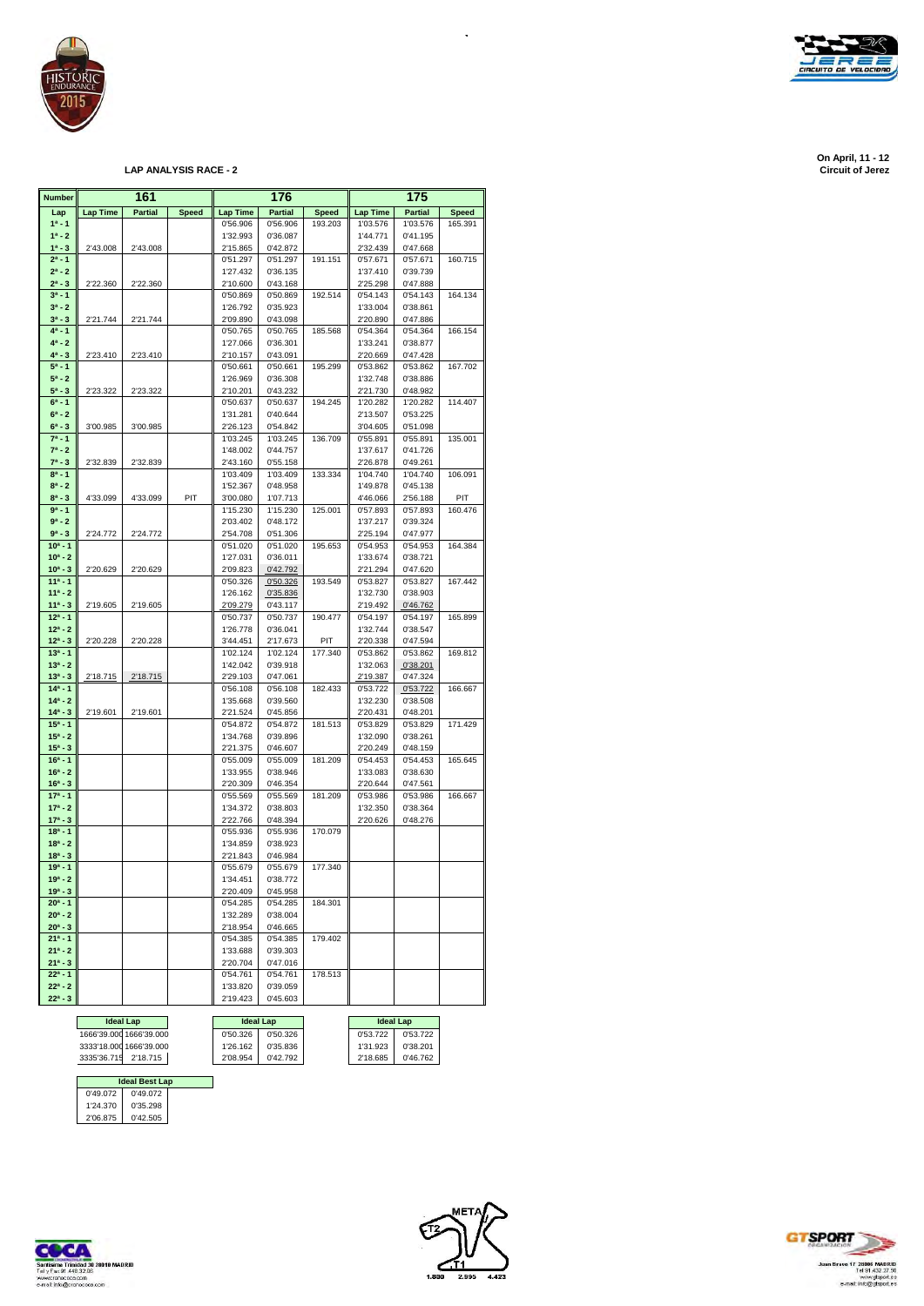

| <b>Number</b>           |                 | 161            |              |                      | 176                  |                |                      | 175                  |              |
|-------------------------|-----------------|----------------|--------------|----------------------|----------------------|----------------|----------------------|----------------------|--------------|
| Lap                     | <b>Lap Time</b> | <b>Partial</b> | <b>Speed</b> | <b>Lap Time</b>      | <b>Partial</b>       | <b>Speed</b>   | <b>Lap Time</b>      | <b>Partial</b>       | <b>Speed</b> |
| $1a - 1$                |                 |                |              | 0'56.906             | 0'56.906             | 193.203        | 1'03.576             | 1'03.576             | 165.391      |
| $1^a - 2$               |                 |                |              | 1'32.993             | 0'36.087             |                | 1'44.771             | 0'41.195             |              |
| $1^a - 3$               | 2'43.008        | 2'43.008       |              | 2'15.865             | 0'42.872             |                | 2'32.439             | 0'47.668             |              |
| $2^a - 1$<br>$2^a - 2$  |                 |                |              | 0'51.297<br>1'27.432 | 0'51.297<br>0'36.135 | 191.151        | 0'57.671<br>1'37.410 | 0'57.671<br>0'39.739 | 160.715      |
| $2^a - 3$               | 2'22.360        | 2'22.360       |              | 2'10.600             | 0'43.168             |                | 2'25.298             | 0'47.888             |              |
| $3^a - 1$               |                 |                |              | 0'50.869             | 0'50.869             | 192.514        | 0'54.143             | 0'54.143             | 164.134      |
| $3^a - 2$               |                 |                |              | 1'26.792             | 0'35.923             |                | 1'33.004             | 0'38.861             |              |
| $3^a - 3$               | 2'21.744        | 2'21.744       |              | 2'09.890             | 0'43.098             |                | 2'20.890             | 0'47.886             |              |
| $4^a - 1$               |                 |                |              | 0'50.765             | 0'50.765             | 185.568        | 0'54.364             | 0'54.364             | 166.154      |
| $4^a - 2$               |                 |                |              | 1'27.066             | 0'36.301             |                | 1'33.241             | 0'38.877             |              |
| $4^a - 3$               | 2'23.410        | 2'23.410       |              | 2'10.157             | 0'43.091             |                | 2'20.669             | 0'47.428             |              |
| $5^a - 1$               |                 |                |              | 0'50.661             | 0'50.661             | 195.299        | 0'53.862             | 0'53.862             | 167.702      |
| $5^a - 2$               |                 |                |              | 1'26.969             | 0'36.308             |                | 1'32.748             | 0'38.886             |              |
| $5^a - 3$<br>$6^a - 1$  | 2'23.322        | 2'23.322       |              | 2'10.201<br>0'50.637 | 0'43.232<br>0'50.637 | 194.245        | 2'21.730<br>1'20.282 | 0'48.982<br>1'20.282 | 114.407      |
| $6^a - 2$               |                 |                |              | 1'31.281             | 0'40.644             |                | 2'13.507             | 0'53.225             |              |
| $6^a - 3$               | 3'00.985        | 3'00.985       |              | 2'26.123             | 0'54.842             |                | 3'04.605             | 0'51.098             |              |
| $7^a - 1$               |                 |                |              | 1'03.245             | 1'03.245             | 136.709        | 0'55.891             | 0'55.891             | 135.001      |
| $7^a - 2$               |                 |                |              | 1'48.002             | 0'44.757             |                | 1'37.617             | 0'41.726             |              |
| $7^a - 3$               | 2'32.839        | 2'32.839       |              | 2'43.160             | 0'55.158             |                | 2'26.878             | 0'49.261             |              |
| $8^a - 1$               |                 |                |              | 1'03.409             | 1'03.409             | 133.334        | 1'04.740             | 1'04.740             | 106.091      |
| $8^a - 2$               |                 |                |              | 1'52.367             | 0'48.958             |                | 1'49.878             | 0'45.138             |              |
| $8^a - 3$               | 4'33.099        | 4'33.099       | PIT          | 3'00.080             | 1'07.713             |                | 4'46.066             | 2'56.188             | PIT          |
| $9a - 1$                |                 |                |              | 1'15.230             | 1'15.230             | 125.001        | 0'57.893             | 0'57.893             | 160.476      |
| $9a - 2$                |                 |                |              | 2'03.402             | 0'48.172             |                | 1'37.217             | 0'39.324             |              |
| $9^a - 3$<br>$10a - 1$  | 2'24.772        | 2'24.772       |              | 2'54.708<br>0'51.020 | 0'51.306<br>0'51.020 | 195.653        | 2'25.194<br>0'54.953 | 0'47.977<br>0'54.953 | 164.384      |
| $10^a - 2$              |                 |                |              | 1'27.031             | 0'36.011             |                | 1'33.674             | 0'38.721             |              |
| $10^a - 3$              | 2'20.629        | 2'20.629       |              | 2'09.823             | 0'42.792             |                | 2'21.294             | 0'47.620             |              |
| $11a - 1$               |                 |                |              | 0'50.326             | 0'50.326             | 193.549        | 0'53.827             | 0'53.827             | 167.442      |
| $11a - 2$               |                 |                |              | 1'26.162             | 0'35.836             |                | 1'32.730             | 0'38.903             |              |
| $11a - 3$               | 2'19.605        | 2'19.605       |              | 2'09.279             | 0'43.117             |                | 2'19.492             | 0'46.762             |              |
| $12^a - 1$              |                 |                |              | 0'50.737             | 0'50.737             | 190.477        | 0'54.197             | 0'54.197             | 165.899      |
| $12^a - 2$              |                 |                |              | 1'26.778             | 0'36.041             |                | 1'32.744             | 0'38.547             |              |
| $12^a - 3$<br>$13a - 1$ | 2'20.228        | 2'20.228       |              | 3'44.451             | 2'17.673             | PIT<br>177.340 | 2'20.338             | 0'47.594             |              |
| $13^a - 2$              |                 |                |              | 1'02.124<br>1'42.042 | 1'02.124<br>0'39.918 |                | 0'53.862<br>1'32.063 | 0'53.862<br>0'38.201 | 169.812      |
| $13^a - 3$              | 2'18.715        | 2'18.715       |              | 2'29.103             | 0'47.061             |                | 2'19.387             | 0'47.324             |              |
| $14a - 1$               |                 |                |              | 0'56.108             | 0'56.108             | 182.433        | 0'53.722             | 0'53.722             | 166.667      |
| $14a - 2$               |                 |                |              | 1'35.668             | 0'39.560             |                | 1'32.230             | 0'38.508             |              |
| $14^a - 3$              | 2'19.601        | 2'19.601       |              | 2'21.524             | 0'45.856             |                | 2'20.431             | 0'48.201             |              |
| $15a - 1$               |                 |                |              | 0'54.872             | 0'54.872             | 181.513        | 0'53.829             | 0'53.829             | 171.429      |
| $15^a - 2$              |                 |                |              | 1'34.768             | 0'39.896             |                | 1'32.090             | 0'38.261             |              |
| $15^a - 3$              |                 |                |              | 2'21.375             | 0'46.607             |                | 2'20.249             | 0'48.159             |              |
| $16a - 1$<br>$16^a - 2$ |                 |                |              | 0'55.009<br>1'33.955 | 0'55.009<br>0'38.946 | 181.209        | 0'54.453<br>1'33.083 | 0'54.453<br>0'38.630 | 165.645      |
| $16^a - 3$              |                 |                |              | 2'20.309             | 0'46.354             |                | 2'20.644             | 0'47.561             |              |
| $17a - 1$               |                 |                |              | 0'55.569             | 0'55.569             | 181.209        | 0'53.986             | 0'53.986             | 166.667      |
| $17a - 2$               |                 |                |              | 1'34.372             | 0'38.803             |                | 1'32.350             | 0'38.364             |              |
| $17^a - 3$              |                 |                |              | 2'22.766             | 0'48.394             |                | 2'20.626             | 0'48.276             |              |
| $18a - 1$               |                 |                |              | 0'55.936             | 0'55.936             | 170.079        |                      |                      |              |
| $18a - 2$               |                 |                |              | 1'34.859             | 0'38.923             |                |                      |                      |              |
| $18a - 3$               |                 |                |              | 2'21.843             | 0'46.984             |                |                      |                      |              |
| $19a - 1$               |                 |                |              | 0'55.679             | 0'55.679             | 177.340        |                      |                      |              |
| $19a - 2$<br>$19a - 3$  |                 |                |              | 1'34.451<br>2'20.409 | 0'38.772             |                |                      |                      |              |
| $20^a - 1$              |                 |                |              | 0'54.285             | 0'45.958<br>0'54.285 | 184.301        |                      |                      |              |
| $20^a - 2$              |                 |                |              | 1'32.289             | 0'38.004             |                |                      |                      |              |
| $20^a - 3$              |                 |                |              | 2'18.954             | 0'46.665             |                |                      |                      |              |
| $21^a - 1$              |                 |                |              | 0'54.385             | 0'54.385             | 179.402        |                      |                      |              |
| $21^a - 2$              |                 |                |              | 1'33.688             | 0'39.303             |                |                      |                      |              |
| $21^a - 3$              |                 |                |              | 2'20.704             | 0'47.016             |                |                      |                      |              |
| $22^a - 1$              |                 |                |              | 0'54.761             | 0'54.761             | 178.513        |                      |                      |              |
| $22^a - 2$              |                 |                |              | 1'33.820             | 0'39.059             |                |                      |                      |              |
| $22^a - 3$              |                 |                |              | 2'19.423             | 0'45.603             |                |                      |                      |              |

**Ideal Lap**<br>
050.326 050.326 053.722 053.722<br>
126.162 035.836 131.923 038.201<br>
208.954 042.792 218.685 046.762

### 335'36.7 1666'39.000 1666'39.000 0'50.326 0'50.326 0'53.722 0'53.722<br>3333'18.000 1666'39.000 1'26.162 0'35.836 1'31.923 0'38.201<br>3335'36.715 2'18.685 0'46.762 0'42.792 2'18.685 0'46.762 **Ideal Lap**

|          | <b>Ideal Best Lap</b> |
|----------|-----------------------|
| 0'49.072 | 0'49.072              |
| 1'24.370 | 0'35.298              |
| 2'06.875 | 0'42.505              |





 $\ddot{\phantom{0}}$ 





**On April, 11 - 12 On April, 11 - 12 Circuit of Jerez LAP ANALYSIS RACE - 2 Circuit of Jerez**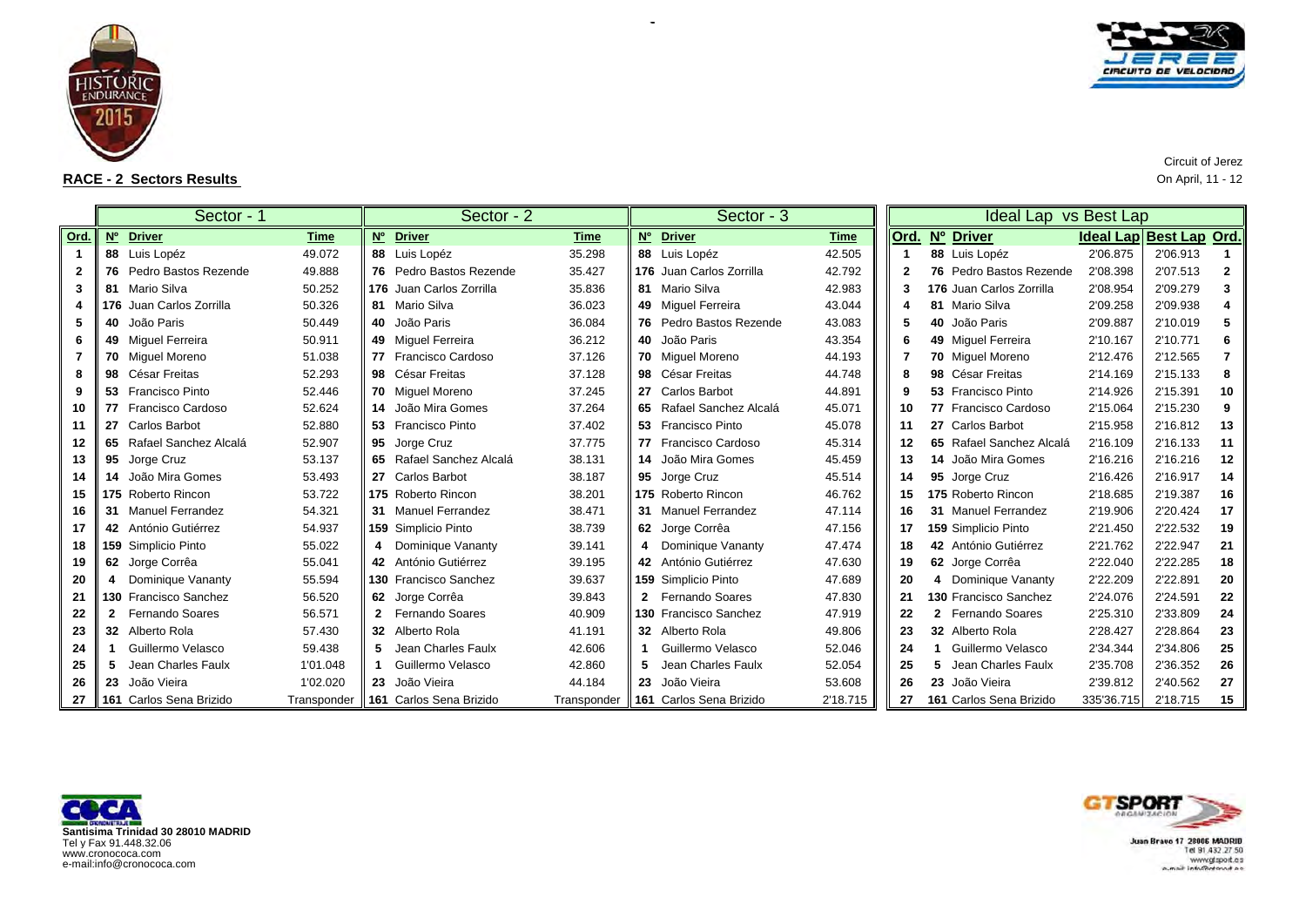

 $\blacksquare$ 



|              |              | Sector - 1               |             |                   | Sector - 2               |             | Sector - 3               |             |      |   | Ideal Lap vs Best Lap    |                         |          |                |
|--------------|--------------|--------------------------|-------------|-------------------|--------------------------|-------------|--------------------------|-------------|------|---|--------------------------|-------------------------|----------|----------------|
| Ord.         |              | Nº Driver                | Time        | $\underline{N^o}$ | <b>Driver</b>            | <b>Time</b> | Nº Driver                | <b>Time</b> | Ord. |   | Nº Driver                | Ideal Lap Best Lap Ord. |          |                |
|              |              | 88 Luis Lopéz            | 49.072      |                   | 88 Luis Lopéz            | 35.298      | 88 Luis Lopéz            | 42.505      |      |   | 88 Luis Lopéz            | 2'06.875                | 2'06.913 |                |
| $\mathbf{2}$ |              | 76 Pedro Bastos Rezende  | 49.888      |                   | 76 Pedro Bastos Rezende  | 35.427      | 176 Juan Carlos Zorrilla | 42.792      | 2    |   | 76 Pedro Bastos Rezende  | 2'08.398                | 2'07.513 | $\overline{2}$ |
| 3            |              | 81 Mario Silva           | 50.252      |                   | 176 Juan Carlos Zorrilla | 35.836      | 81 Mario Silva           | 42.983      |      |   | 176 Juan Carlos Zorrilla | 2'08.954                | 2'09.279 | 3              |
|              |              | 176 Juan Carlos Zorrilla | 50.326      |                   | 81 Mario Silva           | 36.023      | 49 Miguel Ferreira       | 43.044      |      |   | 81 Mario Silva           | 2'09.258                | 2'09.938 |                |
| 5            |              | 40 João Paris            | 50.449      |                   | 40 João Paris            | 36.084      | 76 Pedro Bastos Rezende  | 43.083      |      |   | 40 João Paris            | 2'09.887                | 2'10.019 | 5              |
| 6            |              | 49 Miquel Ferreira       | 50.911      |                   | 49 Miquel Ferreira       | 36.212      | 40 João Paris            | 43.354      |      |   | 49 Miquel Ferreira       | 2'10.167                | 2'10.771 | 6              |
|              |              | 70 Miguel Moreno         | 51.038      |                   | 77 Francisco Cardoso     | 37.126      | 70 Miguel Moreno         | 44.193      |      |   | 70 Miguel Moreno         | 2'12.476                | 2'12.565 | 7              |
| 8            |              | 98 César Freitas         | 52.293      |                   | 98 César Freitas         | 37.128      | 98 César Freitas         | 44.748      | 8    |   | 98 César Freitas         | 2'14.169                | 2'15.133 | 8              |
|              |              | 53 Francisco Pinto       | 52.446      |                   | 70 Miquel Moreno         | 37.245      | 27 Carlos Barbot         | 44.891      | 9    |   | 53 Francisco Pinto       | 2'14.926                | 2'15.391 | 10             |
| 10           |              | 77 Francisco Cardoso     | 52.624      |                   | 14 João Mira Gomes       | 37.264      | 65 Rafael Sanchez Alcalá | 45.071      | 10   |   | 77 Francisco Cardoso     | 2'15.064                | 2'15.230 | 9              |
| 11           |              | 27 Carlos Barbot         | 52.880      |                   | 53 Francisco Pinto       | 37.402      | 53 Francisco Pinto       | 45.078      | 11   |   | 27 Carlos Barbot         | 2'15.958                | 2'16.812 | 13             |
| 12           |              | 65 Rafael Sanchez Alcalá | 52.907      |                   | 95 Jorge Cruz            | 37.775      | 77 Francisco Cardoso     | 45.314      | 12   |   | 65 Rafael Sanchez Alcalá | 2'16.109                | 2'16.133 | 11             |
| 13           |              | 95 Jorge Cruz            | 53.137      |                   | 65 Rafael Sanchez Alcalá | 38.131      | 14 João Mira Gomes       | 45.459      | 13   |   | 14 João Mira Gomes       | 2'16.216                | 2'16.216 | 12             |
| 14           |              | 14 João Mira Gomes       | 53.493      |                   | 27 Carlos Barbot         | 38.187      | 95 Jorge Cruz            | 45.514      | 14   |   | 95 Jorge Cruz            | 2'16.426                | 2'16.917 | 14             |
| 15           |              | 175 Roberto Rincon       | 53.722      |                   | 175 Roberto Rincon       | 38.201      | 175 Roberto Rincon       | 46.762      | 15   |   | 175 Roberto Rincon       | 2'18.685                | 2'19.387 | 16             |
| 16           |              | 31 Manuel Ferrandez      | 54.321      |                   | 31 Manuel Ferrandez      | 38.471      | 31 Manuel Ferrandez      | 47.114      | 16   |   | 31 Manuel Ferrandez      | 2'19.906                | 2'20.424 | 17             |
| 17           |              | 42 António Gutiérrez     | 54.937      |                   | 159 Simplicio Pinto      | 38.739      | 62 Jorge Corrêa          | 47.156      | 17   |   | 159 Simplicio Pinto      | 2'21.450                | 2'22.532 | 19             |
| 18           |              | 159 Simplicio Pinto      | 55.022      | 4                 | Dominique Vananty        | 39.141      | 4 Dominique Vananty      | 47.474      | 18   |   | 42 António Gutiérrez     | 2'21.762                | 2'22.947 | 21             |
| 19           |              | 62 Jorge Corrêa          | 55.041      |                   | 42 António Gutiérrez     | 39.195      | 42 António Gutiérrez     | 47.630      | 19   |   | 62 Jorge Corrêa          | 2'22.040                | 2'22.285 | 18             |
| 20           | 4            | Dominique Vananty        | 55.594      |                   | 130 Francisco Sanchez    | 39.637      | 159 Simplicio Pinto      | 47.689      | 20   | 4 | Dominique Vananty        | 2'22.209                | 2'22.891 | 20             |
| 21           |              | 130 Francisco Sanchez    | 56.520      |                   | 62 Jorge Corrêa          | 39.843      | 2 Fernando Soares        | 47.830      | 21   |   | 130 Francisco Sanchez    | 2'24.076                | 2'24.591 | 22             |
| 22           | $\mathbf{2}$ | <b>Fernando Soares</b>   | 56.571      | $\mathbf{2}$      | Fernando Soares          | 40.909      | 130 Francisco Sanchez    | 47.919      | 22   |   | Fernando Soares          | 2'25.310                | 2'33.809 | 24             |
| 23           |              | 32 Alberto Rola          | 57.430      |                   | 32 Alberto Rola          | 41.191      | 32 Alberto Rola          | 49.806      | 23   |   | 32 Alberto Rola          | 2'28.427                | 2'28.864 | 23             |
| 24           |              | Guillermo Velasco        | 59.438      | 5                 | Jean Charles Faulx       | 42.606      | Guillermo Velasco        | 52.046      | 24   |   | Guillermo Velasco        | 2'34.344                | 2'34.806 | 25             |
| 25           | 5            | Jean Charles Faulx       | 1'01.048    |                   | Guillermo Velasco        | 42.860      | Jean Charles Faulx       | 52.054      | 25   |   | Jean Charles Faulx       | 2'35.708                | 2'36.352 | 26             |
| 26           |              | 23 João Vieira           | 1'02.020    |                   | 23 João Vieira           | 44.184      | 23 João Vieira           | 53.608      | 26   |   | 23 João Vieira           | 2'39.812                | 2'40.562 | 27             |
| 27           |              | 161 Carlos Sena Brizido  | Transponder |                   | 161 Carlos Sena Brizido  | Transponder | 161 Carlos Sena Brizido  | 2'18.715    | 27   |   | 161 Carlos Sena Brizido  | 335'36.715              | 2'18.715 | 15             |

 $\sim$ 

**F** -







Circuit of Jerez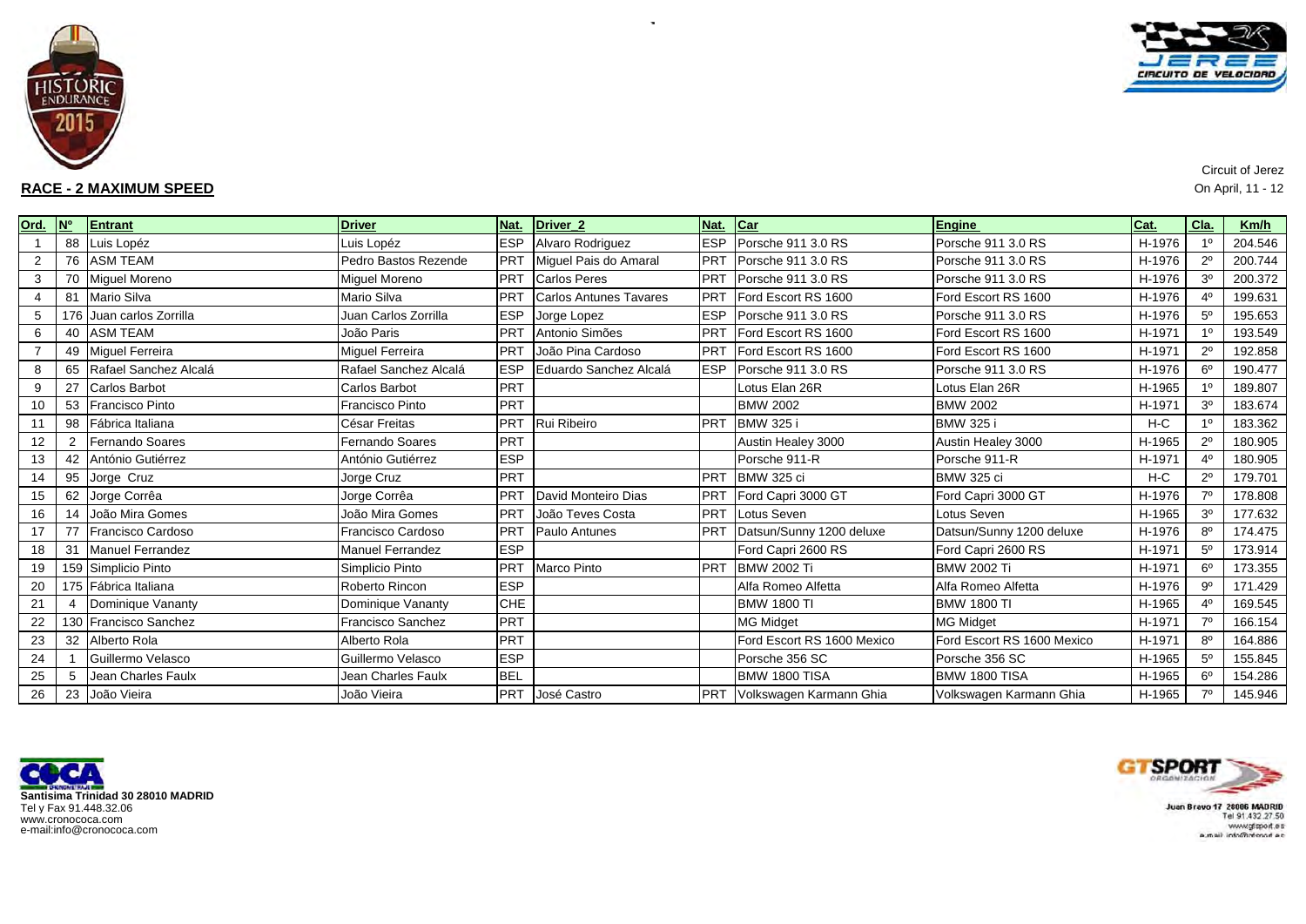

# **RACE - 2 MAXIMUM SPEED**



Circuit of Jerez  $\mathsf D$  On April, 11 - 12

| Ord.           | <b>N°</b> | Entrant                  | <b>Driver</b>            | Nat.       | Driver <sub>2</sub>           | Nat.       | Car                        | Engine                     | Cat.   | Cla.           | Km/h    |
|----------------|-----------|--------------------------|--------------------------|------------|-------------------------------|------------|----------------------------|----------------------------|--------|----------------|---------|
|                | 88        | Luis Lopéz               | Luis Lopéz               | <b>ESP</b> | Alvaro Rodriguez              | <b>ESP</b> | Porsche 911 3.0 RS         | Porsche 911 3.0 RS         | H-1976 | 10             | 204.546 |
| $\overline{2}$ |           | 76 ASM TEAM              | Pedro Bastos Rezende     | PRT        | Miguel Pais do Amaral         | <b>PRT</b> | Porsche 911 3.0 RS         | Porsche 911 3.0 RS         | H-1976 | $2^{\circ}$    | 200.744 |
| 3              | 70        | Miguel Moreno            | <b>Miquel Moreno</b>     | <b>PRT</b> | <b>Carlos Peres</b>           | <b>PRT</b> | Porsche 911 3.0 RS         | Porsche 911 3.0 RS         | H-1976 | 3 <sup>o</sup> | 200.372 |
| 4              | 81        | Mario Silva              | Mario Silva              | PRT        | <b>Carlos Antunes Tavares</b> | PRT        | Ford Escort RS 1600        | Ford Escort RS 1600        | H-1976 | 40             | 199.631 |
| 5              |           | 176 Juan carlos Zorrilla | Juan Carlos Zorrilla     | <b>ESP</b> | Jorge Lopez                   | <b>ESP</b> | Porsche 911 3.0 RS         | Porsche 911 3.0 RS         | H-1976 | 5 <sup>0</sup> | 195.653 |
| 6              | 40        | <b>ASM TEAM</b>          | João Paris               | PRT        | Antonio Simões                | <b>PRT</b> | Ford Escort RS 1600        | Ford Escort RS 1600        | H-1971 | 10             | 193.549 |
|                |           | 49 Miquel Ferreira       | <b>Miquel Ferreira</b>   | PRT        | João Pina Cardoso             | <b>PRT</b> | Ford Escort RS 1600        | Ford Escort RS 1600        | H-1971 | $2^{\circ}$    | 192.858 |
| 8              | 65        | Rafael Sanchez Alcalá    | Rafael Sanchez Alcalá    | <b>ESP</b> | Eduardo Sanchez Alcalá        | <b>ESP</b> | Porsche 911 3.0 RS         | Porsche 911 3.0 RS         | H-1976 | 6 <sup>o</sup> | 190.477 |
| 9              | 27        | Carlos Barbot            | Carlos Barbot            | PRT        |                               |            | Lotus Elan 26R             | Lotus Elan 26R             | H-1965 | 10             | 189.807 |
| 10             | 53        | <b>Francisco Pinto</b>   | <b>Francisco Pinto</b>   | PRT        |                               |            | <b>BMW 2002</b>            | <b>BMW 2002</b>            | H-1971 | 3 <sup>o</sup> | 183.674 |
| 11             | 98        | Fábrica Italiana         | César Freitas            | PRT        | Rui Ribeiro                   | PRT        | <b>BMW 325 i</b>           | <b>BMW 325 i</b>           | $H-C$  | 10             | 183.362 |
| 12             | 2         | Fernando Soares          | <b>Fernando Soares</b>   | PRT        |                               |            | Austin Healey 3000         | Austin Healey 3000         | H-1965 | $2^{\circ}$    | 180.905 |
| 13             |           | 42 António Gutiérrez     | António Gutiérrez        | <b>ESP</b> |                               |            | Porsche 911-R              | Porsche 911-R              | H-1971 | 4 <sup>0</sup> | 180.905 |
| 14             | 95        | Jorge Cruz               | Jorge Cruz               | PRT        |                               | <b>PRT</b> | BMW 325 ci                 | <b>BMW 325 ci</b>          | $H-C$  | $2^{\circ}$    | 179.701 |
| 15             | 62        | Jorge Corrêa             | Jorge Corrêa             | PRT        | David Monteiro Dias           | PRT        | Ford Capri 3000 GT         | Ford Capri 3000 GT         | H-1976 | 70             | 178.808 |
| 16             | 14        | João Mira Gomes          | João Mira Gomes          | PRT        | João Teves Costa              | PRT        | Lotus Seven                | Lotus Seven                | H-1965 | 3 <sup>o</sup> | 177.632 |
| 17             |           | Francisco Cardoso        | Francisco Cardoso        | PRT        | Paulo Antunes                 | <b>PRT</b> | Datsun/Sunny 1200 deluxe   | Datsun/Sunny 1200 deluxe   | H-1976 | 8 <sup>0</sup> | 174.475 |
| 18             | 31        | <b>Manuel Ferrandez</b>  | <b>Manuel Ferrandez</b>  | <b>ESP</b> |                               |            | Ford Capri 2600 RS         | Ford Capri 2600 RS         | H-1971 | 5 <sup>0</sup> | 173.914 |
| 19             |           | 159 Simplicio Pinto      | Simplicio Pinto          | PRT        | Marco Pinto                   | <b>PRT</b> | <b>BMW 2002 Ti</b>         | <b>BMW 2002 Ti</b>         | H-1971 | $6^{\circ}$    | 173.355 |
| 20             |           | 175 Fábrica Italiana     | Roberto Rincon           | <b>ESP</b> |                               |            | Alfa Romeo Alfetta         | Alfa Romeo Alfetta         | H-1976 | $9^{\circ}$    | 171.429 |
| 21             |           | Dominique Vananty        | Dominique Vananty        | <b>CHE</b> |                               |            | <b>BMW 1800 TI</b>         | <b>BMW 1800 TI</b>         | H-1965 | 40             | 169.545 |
| 22             |           | 130 Francisco Sanchez    | <b>Francisco Sanchez</b> | PRT        |                               |            | <b>MG Midget</b>           | <b>MG Midget</b>           | H-1971 | 70             | 166.154 |
| 23             | 32        | Alberto Rola             | Alberto Rola             | PRT        |                               |            | Ford Escort RS 1600 Mexico | Ford Escort RS 1600 Mexico | H-1971 | R <sup>0</sup> | 164.886 |
| 24             |           | Guillermo Velasco        | Guillermo Velasco        | <b>ESP</b> |                               |            | Porsche 356 SC             | Porsche 356 SC             | H-1965 | 5 <sup>0</sup> | 155.845 |
| 25             | 5         | Jean Charles Faulx       | Jean Charles Faulx       | <b>BEL</b> |                               |            | BMW 1800 TISA              | BMW 1800 TISA              | H-1965 | $6^{\circ}$    | 154.286 |
| 26             |           | 23 João Vieira           | João Vieira              | <b>PRT</b> | José Castro                   | <b>PRT</b> | Volkswagen Karmann Ghia    | Volkswagen Karmann Ghia    | H-1965 | 70             | 145.946 |

 $\sim$ 





where  $m$  and  $\alpha_{\rm max}$  and  $\alpha_{\rm max}$  and  $\alpha_{\rm max}$  and  $\alpha_{\rm max}$  and  $\alpha_{\rm max}$  and  $\alpha_{\rm max}$  and  $\alpha_{\rm max}$  and  $\alpha_{\rm max}$  and  $\alpha_{\rm max}$  and  $\alpha_{\rm max}$  and  $\alpha_{\rm max}$  and  $\alpha_{\rm max}$  and  $\alpha_{\rm max}$  and  $\alpha_{\rm max}$  and  $\alpha_{\rm max}$  a  $m$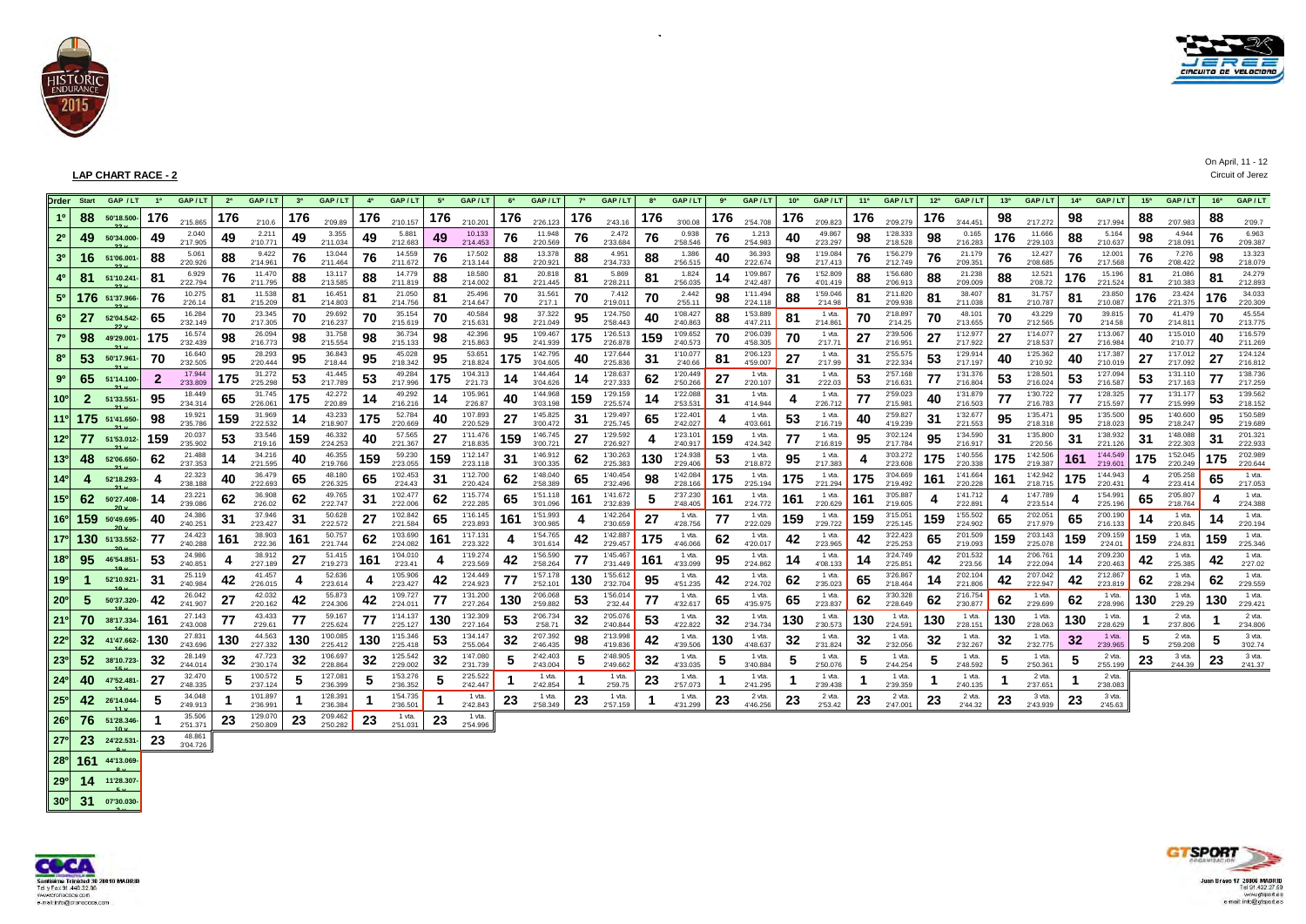



|                 | <b>Order</b> Start | GAP / LT       | 1 <sup>a</sup> | GAP/LT                         | 2 <sup>a</sup> | GAP/LT                         | 3 <sup>a</sup> | GAP/LT                         | 4 <sup>a</sup> | GAP/LT                           | 5 <sup>a</sup> | GAP/LT                           | 6 <sup>a</sup> | GAP/LT                           | 7 <sup>a</sup> | GAP/LT                          | 8 <sup>a</sup> | GAP/LT               | ga  | GAP/LT                         | 10 <sup>a</sup> | GAP/LT                         | 11 <sup>a</sup> | GAP/LT                           | 12 <sup>a</sup> | GAP/LT                           |     | $13a$ GAP/LT                   | 14 <sup>a</sup> | GAP/LT                         | 15 <sup>a</sup> | GAP/LT               | 16 <sup>a</sup> | GAP/LT                        |
|-----------------|--------------------|----------------|----------------|--------------------------------|----------------|--------------------------------|----------------|--------------------------------|----------------|----------------------------------|----------------|----------------------------------|----------------|----------------------------------|----------------|---------------------------------|----------------|----------------------|-----|--------------------------------|-----------------|--------------------------------|-----------------|----------------------------------|-----------------|----------------------------------|-----|--------------------------------|-----------------|--------------------------------|-----------------|----------------------|-----------------|-------------------------------|
| 10              | 88                 | 50'18.500      | 176            | 2'15,865                       | 176            | 2'10.6                         | 176            | 2'09.89                        | 176            | 2'10.157                         | 176            | 2'10.201                         | 176            | 2'26.123                         | 176            | 2'43.16                         | 176            | 3'00.08              | 176 | 2'54.708                       | 176             | 2'09.823                       | 176             | 2'09.279                         | 176             | 3'44.451                         | 98  | 2'17.272                       | 98              | 2'17.994                       | 88              | 2'07.983             | 88              | 2'09.7                        |
| 2 <sup>0</sup>  | 49                 | 50'34.000-     | 49             | 2.040<br>2'17.905              | 49             | 2.211<br>2'10.771              | 49             | 3.355<br>2'11.034              | 49             | 5.881<br>2'12.683                | 49             | 10.133<br>2'14.453               | 76             | 11.948<br>2'20.569               | 76             | 2.472<br>2'33.684               | 76             | 0.938<br>2'58.546    | 76  | 1.213<br>2'54.983              | 40              | 49.867<br>2'23.297             | 98              | 1'28.333<br>2'18.528             | 98              | 0.165<br>2'16.283                | 176 | 11.666<br>2'29.103             | 88              | 5.164<br>2'10.637              | 98              | 4.944<br>2'18.091    | 76              | 6.963<br>2'09.387             |
| 3 <sup>0</sup>  | 16                 | 51'06.001      | -88            | 5.061<br>2'20.926              | 88             | 9.422<br>2'14.961              | 76             | 13.044<br>2'11.464             | 76             | 14.559<br>2'11.672               | 76             | 17.502<br>2'13.144               | 88             | 13.378<br>2'20.921               | 88             | 4.951<br>2'34.733               | 88             | 1.386<br>2'56.515    | 40  | 36.393<br>2'22.674             | 98              | 1'19.084<br>2'17.413           | 76              | 1'56.279<br>2'12.749             | 76              | 21.179<br>2'09.351               | 76  | 12.427<br>2'08.685             | 76              | 12.001<br>2'17.568             | 76              | 7.276<br>2'08.422    | 98              | 13.323<br>2'18.079            |
|                 | 81                 | 51'10.241      | -81            | 6.929<br>2'22.794              | 76             | 11.470<br>2'11.795             | 88             | 13.117<br>2'13.585             | 88             | 14.779<br>2'11.819               | 88             | 18.580<br>2'14.002               | 81             | 20.818<br>2'21.445               | 81             | 5.869<br>2'28.211               | 81             | 1.824<br>2'56.035    | 14  | 1'09.867<br>2'42.487           | 76              | 1'52.809<br>4'01.419           | 88              | 1'56.680<br>2'06.913             | 88              | 21.238<br>2'09.009               | 88  | 12.521<br>2'08.72              | 176             | 15.196<br>2'21.524             | 81              | 21.086<br>2'10.383   | 81              | 24.279<br>2'12.893            |
|                 |                    | 176 51'37.966- |                | 10.275<br>2'26.14              | 81             | 11.538<br>2'15,209             | 81             | 16.451<br>2'14.803             | 81             | 21.050<br>2'14.756               | 81             | 25.496<br>2'14.647               | 70             | 31.561<br>2'17.1                 | 70             | 7.412<br>2'19.011               | 70             | 2.442<br>2'55.11     | 98  | 1'11.494<br>2'24.118           | 88              | 1'59.046<br>2'14.98            | 81              | 2'11.820<br>2'09.938             | 81              | 38.407<br>2'11.038               | 81  | 31.757<br>2'10.787             | 81              | 23.850<br>2'10.087             | 176             | 23.424<br>2'21.375   | 176             | 34.033<br>2'20.309            |
|                 | 27                 | 52'04.542-     | 65             | 16.284<br>2'32.149             | 70             | 23.345<br>2'17.305             | 70             | 29.692<br>2'16.237             | 70             | 35.154<br>2'15.619               | 70             | 40.584<br>2'15.631               | 98             | 37.322<br>2'21.049               | 95             | 1'24.750<br>2'58.443            | 40             | 1'08.427<br>2'40.863 | 88  | 1'53.889<br>4'47.211           | 81              | 1 vta.<br>2'14.861             | 70              | 2'18.897<br>2'14.25              | 70              | 48.101<br>2'13.655               | 70  | 43.229<br>2'12.565             | 70              | 39.815<br>2'14.58              | 70              | 41.479<br>2'14.811   | 70              | 45.554<br>2'13.775            |
| 7 <sup>0</sup>  | 98                 | 49'29.001-     | 175            | 16.574<br>2'32.439             | 98             | 26.094<br>2'16,773             | 98             | 31.758<br>2'15.554             | 98             | 36.734<br>2'15.133               | 98             | 42.396<br>2'15.863               | 95             | 1'09.467<br>2'41.939             | 175            | 1'26.513<br>2'26,878            | 159            | 1'09.652<br>2'40.573 | 70  | 2'06.039<br>4'58.305           | 70              | 1 vta.<br>2'17.71              | 27              | 2'39.506<br>2'16.951             | 27              | 1'12.977<br>2'17.922             | 27  | 1'14.077<br>2'18.537           | 27              | 1'13.067<br>2'16.984           |                 | 1'15.010<br>2'10.77  | 40              | 1'16.579<br>2'11.269          |
|                 | 53.                | 50'17.961      | 70             | 16.640<br>2'32.505             | 95             | 28.293<br>2'20.444             | 95             | 36.843<br>2'18.44              | 95             | 45.028<br>2'18.342               | 95             | 53.651<br>2'18.824               | 175            | 1'42.795<br>3'04.605             | 40             | 1'27.644<br>2'25.836            | 31             | 1'10.077<br>2'40.66  | 81  | 2'06.123<br>4'59.007           | 27              | 1 vta.<br>2'17.99              | 31              | 2'55.575<br>2'22.334             | 53              | 1'29.914<br>2'17.197             |     | 1'25.362<br>2'10.92            | 40              | 1'17.387<br>2'10.019           |                 | 1'17.012<br>2'17.092 | 27              | 1'24.124<br>2'16.812          |
| $9^{\rm o}$     |                    | 65 51'14.100-  | -2             | 17.944<br>2'33.809             | 175            | 31.272<br>2'25.298             | 53             | 41.445<br>2'17.789             | 53             | 49.284<br>2'17.996               | 175            | 1'04.313<br>2'21.73              |                | 1'44.464<br>3'04.626             | 14             | 1'28.637<br>2'27.333            | 62             | 1'20.449<br>2'50.266 | 27  | 1 vta.<br>2'20.107             | 31              | 1 vta.<br>2'22.03              | 53              | 2'57.168<br>2'16.631             | 77              | 1'31.376<br>2'16.804             | 53  | 1'28.501<br>2'16.024           | 53              | 1'27.094<br>2'16.587           | 53              | 1'31.110<br>2'17.163 | 77              | 1'38.736<br>2'17.259          |
| 10°             |                    | 51'33.551      | 95             | 18,449<br>2'34.314             | 65             | 31.745<br>2'26.061             | 175            | 42.272<br>2'20.89              | 14             | 49.292<br>2'16.216               | 14             | 1'05.961<br>2'26.87              | 40             | 1'44.968<br>3'03.198             | 159            | 1'29.159<br>2'25.574            | 14             | 1'22.088<br>2'53.531 | 31  | 1 vta.<br>4'14.944             |                 | 1 vta.<br>2'26.712             | 77              | 2'59.023<br>2'15.981             | 40              | 1'31.879<br>2'16.503             | 77  | 1'30.722<br>2'16,783           | 77              | 1'28.325<br>2'15.597           | 77              | 1'31.177<br>2'15.999 | 53              | 1'39.562<br>2'18.152          |
| 110             |                    | 175 51'41.650- | 98             | 19.921<br>2'35.786             | 159            | 31.969<br>2'22.532             | 14             | 43.233<br>2'18.907             | 175            | 52.784<br>2'20.669               | 40             | 1'07.893<br>2'20.529             | 27             | 1'45.825<br>3'00.472             | 31             | 1'29.497<br>2'25.745            | 65             | 1'22.401<br>2'42.027 |     | 1 vta.<br>4'03.661             | 53              | 1 vta.<br>2'16,719             |                 | 2'59.827<br>4'19.239             | 31              | 1'32.677<br>2'21.553             | 95  | 1'35.471<br>2'18.318           | 95              | 1'35.500<br>2'18.023           | 95              | 1'40.600<br>2'18.247 | 95              | 1'50.589<br>2'19.689          |
| 12º             | 77                 | 51'53.012- 159 |                | 20.037<br>2'35.902             | 53             | 33.546<br>2'19.16              | 159            | 46.332<br>2'24.253             | 40             | 57.565<br>2'21.367               | 27             | 1'11.476<br>2'18,835             | 159            | 1'46.745<br>3'00.721             | 27             | 1'29.592<br>2'26.927            |                | 1'23.101<br>2'40.917 | 159 | 1 vta.<br>4'24.342             | 77              | 1 vta.<br>2'16.819             | 95              | 3'02.124<br>2'17.784             | 95              | 1'34.590<br>2'16.917             | 31  | 1'35.800<br>2'20.56            | 31              | 1'38.932<br>2'21.126           | 31              | 1'48.088<br>2'22.303 | 31              | 2'01.321<br>2'22.933          |
| 13 <sup>0</sup> | 48                 | 52'06.650-     | 62             | 21.488<br>2'37.353             | 14             | 34.216<br>2'21.595             | 40             | 46.355<br>2'19.766             | 159            | 59.230<br>2'23.055               | 159            | 1'12.147<br>2'23.118             | 31             | 1'46.912<br>3'00.335             | 62             | 1'30.263<br>2'25.383            | 130            | 1'24.938<br>2'29.406 | 53  | 1 vta.<br>2'18.872             | 95              | 1 vta.<br>2'17.383             |                 | 3'03.272<br>2'23.608             | 175             | 1'40.556<br>2'20.338             | 175 | 1'42.506<br>2'19.387           | 161             | 1'44.549<br>2'19.601           | 175             | 1'52.045<br>2'20.249 | 175             | 2'02.989<br>2'20.644          |
| 14 <sup>°</sup> |                    | 52'18.293      |                | 22.323<br>2'38.188             | 40             | 36.479<br>2'22.693             | 65             | 48.180<br>2'26.325             | 65             | 1'02.453<br>2'24.43              | 31             | 1'12.700<br>2'20.424             | 62             | 1'48.040<br>2'58.389             | 65             | 1'40.454<br>2'32.496            | 98             | 1'42.084<br>2'28.166 | 175 | 1 vta.<br>2'25.194             | 175             | 1 vta.<br>2'21.294             | 175             | 3'04.669<br>2'19.492             | 161             | 1'41.664<br>2'20.228             | 161 | 1'42.942<br>2'18.715           | 175             | 1'44.943<br>2'20.431           |                 | 2'05.258<br>2'23.414 | 65              | 1 vta.<br>2'17.053            |
| 15 <sup>o</sup> | 62.                | 50'27.408-     |                | 23.221<br>2'39.086             | 62             | 36.908<br>2'26.02              | 62             | 49.765<br>2'22.747             | 31             | 1'02.477<br>2'22.006             | 62             | 1'15.774<br>2'22.285             | 65             | 1'51.118<br>3'01.096             | 161            | 1'41.672<br>2'32.839            |                | 2'37.230<br>2'48.405 | 161 | 1 vta.<br>2'24.772             | 161             | 1 vta.<br>2'20.629             | 161             | 3'05.887<br>2'19.605             |                 | 1'41.712<br>2'22.891             |     | 1'47.789<br>2'23.514           |                 | 1'54.991<br>2'25.196           | 65              | 2'05.807<br>2'18.764 |                 | 1 vta.<br>2'24.388            |
| 16°l            |                    | 159 50'49.695- | 40             | 24.386<br>2'40.251             | 31             | 37.946<br>2'23.427             | 31             | 50.628<br>2'22.572             | 27             | 1'02.842<br>2'21.584             | 65             | 1'16.145<br>2'23.893             | 161            | 1'51.993<br>3'00.985             |                | 1'42.264<br>2'30.659            | 27             | 1 vta.<br>4'28.756   | 77  | 1 vta.<br>2'22.029             | 159             | 1 vta.<br>2'29.722             | 159             | 3'15.051<br>2'25.145             | 159             | 1'55.502<br>2'24.902             | 65  | 2'02.051<br>2'17.979           | 65              | 2'00.190<br>2'16.133           | 14              | 1 vta.<br>2'20.845   | 14              | 1 vta.<br>2'20.194            |
| 17 <sup>o</sup> |                    | 130 51'33.552- | 77             | 24.423                         | 161            | 38.903<br>2'22.36              | 161            | 50.757<br>2'21.744             | 62             | 1'03.690<br>2'24.082             | 161            | 1'17.131<br>2'23.322             | 4              | 1'54.765                         | 42             | 1'42.887                        | 175            | 1 vta.<br>4'46.066   | 62  | 1 vta.<br>4'20.017             | 42              | 1 vta.<br>2'23.965             | 42              | 3'22.423<br>2'25.253             | 65              | 2'01.509                         | 159 | 2'03.143                       | 159             | 2'09.159                       | 159             | 1 vta.<br>2'24.831   | 159             | 1 vta.                        |
| 18 <sup>o</sup> | 95                 | 46'54.851      | 53             | 2'40.288<br>24.986<br>2'40.851 |                | 38.912                         | 27             | 51.415                         | 161            | 1'04.010                         |                | 1'19.274                         | 42             | 3'01.614<br>1'56.590             | 77             | 2'29.457<br>1'45.467            | 161            | 1 vta.<br>4'33.099   | 95  | 1 vta.                         | 14              | 1 vta.                         | 14              | 3'24.749                         | 42              | 2'19.093<br>2'01.532             | 14  | 2'25.078<br>2'06.761           | 14              | 2'24.01<br>2'09.230            | 42              | 1 vta.<br>2'25.385   | 42              | 2'25.346<br>1 vta.            |
| 19 <sup>o</sup> |                    | 52'10.921      | -31            | 25.119<br>2'40.984             | 42             | 2'27.189<br>41.457             |                | 2'19.273<br>52.636             |                | 2'23.41<br>1'05.906              | 42             | 2'23.569<br>1'24.449             | 77             | 2'58.264<br>1'57.178             | 130            | 2'31.449<br>1'55.612            | 95             | 1 vta.<br>4'51.235   | 42  | 2'24.862<br>1 vta.<br>2'24.702 | 62              | 4'08.133<br>1 vta.<br>2'35.023 | 65              | 2'25.851<br>3'26.867             | 14              | 2'23.56<br>2'02.104              | 42  | 2'22.094<br>2'07.042           | 42              | 2'20.463<br>2'12.867           | 62              | 1 vta.<br>2'28.294   | 62              | 2'27.02<br>1 vta.<br>2'29.559 |
| $20^{\circ}$    |                    | 50'37.320      | 42             | 26.042<br>2'41.907             | 27             | 2'26.015<br>42.032<br>2'20.162 | 42             | 2'23.614<br>55.873<br>2'24.306 | 42             | 2'23.427<br>1'09.727<br>2'24.011 |                | 2'24.923<br>1'31.200<br>2'27.264 | 130            | 2'52.101<br>2'06.068<br>2'59.882 | 53             | 2'32.704<br>1'56.014<br>2'32.44 |                | 1 vta.<br>4'32.617   | 65  | 1 vta.<br>4'35.975             | 65              | 1 vta.<br>2'23.837             | 62              | 2'18.464<br>3'30.328<br>2'28.649 | 62              | 2'21.806<br>2'16.754<br>2'30.877 | 62  | 2'22.947<br>1 vta.<br>2'29.699 | 62              | 2'23.819<br>1 vta.<br>2'28.996 | 130             | 1 vta.<br>2'29.29    | 130             | 1 vta.<br>2'29.421            |
| 21°             |                    | 70 38'17.334-  | 161            | 27.143<br>2'43.008             | 77             | 43.433<br>2'29.61              | 77             | 59.167<br>2'25.624             | 77             | 1'14.137<br>2'25.127             | 130            | 1'32.309<br>2'27.164             | 53             | 2'06.734<br>2'58.71              | 32             | 2'05.076<br>2'40.844            | 53             | 1 vta.<br>4'22.822   | 32  | 1 vta.<br>2'34.734             | 130             | 1 vta.<br>2'30.573             | 130             | 1 vta.<br>2'24.591               | 130             | 1 vta.<br>2'28.151               | 130 | 1 vta.<br>2'28.063             | 130             | 1 vta.<br>2'28.629             |                 | 2 vta.<br>2'37.806   |                 | 2 vta.<br>2'34.806            |
| 22º             |                    | 41'47.662-     | 130            | 27.831<br>2'43.696             | 130            | 44.563<br>2'27.332             | 130            | 1'00.085<br>2'25.412           | 130            | 1'15.346<br>2'25.418             | 53             | 1'34.147<br>2'55.064             | 32             | 2'07.392<br>2'46.435             | 98             | 2'13.998<br>4'19.836            | 42             | 1 vta.<br>4'39.506   | 130 | 1 vta.<br>4'48.637             | 32              | 1 vta.<br>2'31.824             | 32              | 1 vta.<br>2'32.056               | 32              | 1 vta.<br>2'32.267               | 32  | 1 vta.<br>2'32.775             | 32              | 1 vta.<br>2'39.965             |                 | 2 vta.<br>2'59.208   | 5               | 3 vta.<br>3'02.74             |
| 23º             | 52 <sub>2</sub>    | 38'10.723-     | 32             | 28.149<br>2'44.014             | 32             | 47.723<br>2'30.174             | 32             | 1'06.697<br>2'28.864           | 32             | 1'25.542<br>2'29.002             | 32             | 1'47.080<br>2'31.739             | 5              | 2'42.403<br>2'43.004             | 5              | 2'48.905<br>2'49.662            | 32             | 1 vta.<br>4'33.035   | 5   | 1 vta.<br>3'40.884             | 5               | 1 vta.<br>2'50.076             |                 | 1 vta.<br>2'44.254               | 5               | 1 vta.<br>2'48.592               | 5   | 1 vta.<br>2'50.361             |                 | 2 vta.<br>2'55.199             | 23              | 3 vta.<br>2'44.39    | 23              | 3 vta.                        |
| $24^{\circ}$    | 40                 | 47'52.481      | 27             | 32.470                         | 5              | 1'00.572                       | 5              | 1'27.081                       |                | 1'53.276                         | 5              | 2'25.522                         |                | 1 vta.                           |                | 1 vta.                          | 23             | 1 vta.               |     | 1 vta.                         |                 | 1 vta.                         |                 | 1 vta.                           |                 | 1 vta.                           |     | 2 vta.                         |                 | 2 vta.                         |                 |                      |                 | 2'41.37                       |
| 25°             | 42                 | 26'14.044      |                | 2'48.335<br>34.048             |                | 2'37.124<br>1'01.897           |                | 2'36.399<br>1'28.391           |                | 2'36.352<br>1'54.735             |                | 2'42.447<br>1 vta.               | 23             | 2'42.854<br>1 vta.               | 23             | 2'59.75<br>1 vta.               |                | 2'57.073<br>1 vta.   | 23  | 2'41.295<br>2 vta.             | 23              | 2'39.438<br>2 vta.             | 23              | 2'39.359<br>2 vta.               | 23              | 2'40.135<br>2 vta.               | 23  | 2'37.651<br>3 vta.             | 23              | 2'38.083<br>3 vta.             |                 |                      |                 |                               |
| 26 <sup>o</sup> | 76                 | 51'28.346      |                | 2'49.913<br>35.506<br>2'51.371 | 23             | 2'36.991<br>1'29.070           |                | 2'36.384<br>2'09.462           | 23             | 2'36.501<br>1 vta.               | 23             | 2'42.843<br>1 vta.               |                | 2'58.349                         |                | 2'57.159                        |                | 4'31.299             |     | 4'46.256                       |                 | 2'53.42                        |                 | 2'47.001                         |                 | 2'44.32                          |     | 2'43.939                       |                 | 2'45.63                        |                 |                      |                 |                               |
|                 |                    |                |                |                                |                | 2'50.809                       |                | 2'50.282                       |                | 2'51.031                         |                | 2'54.996                         |                |                                  |                |                                 |                |                      |     |                                |                 |                                |                 |                                  |                 |                                  |     |                                |                 |                                |                 |                      |                 |                               |

 $\sim$ 



**3 v.**

**9 v. 28º 161 44'13.069-**

**8 v. 29º 14 11'28.307- 5 v. 07'30.030- 30º 31**







On April, 11 - 12<br>Circuit of Jerez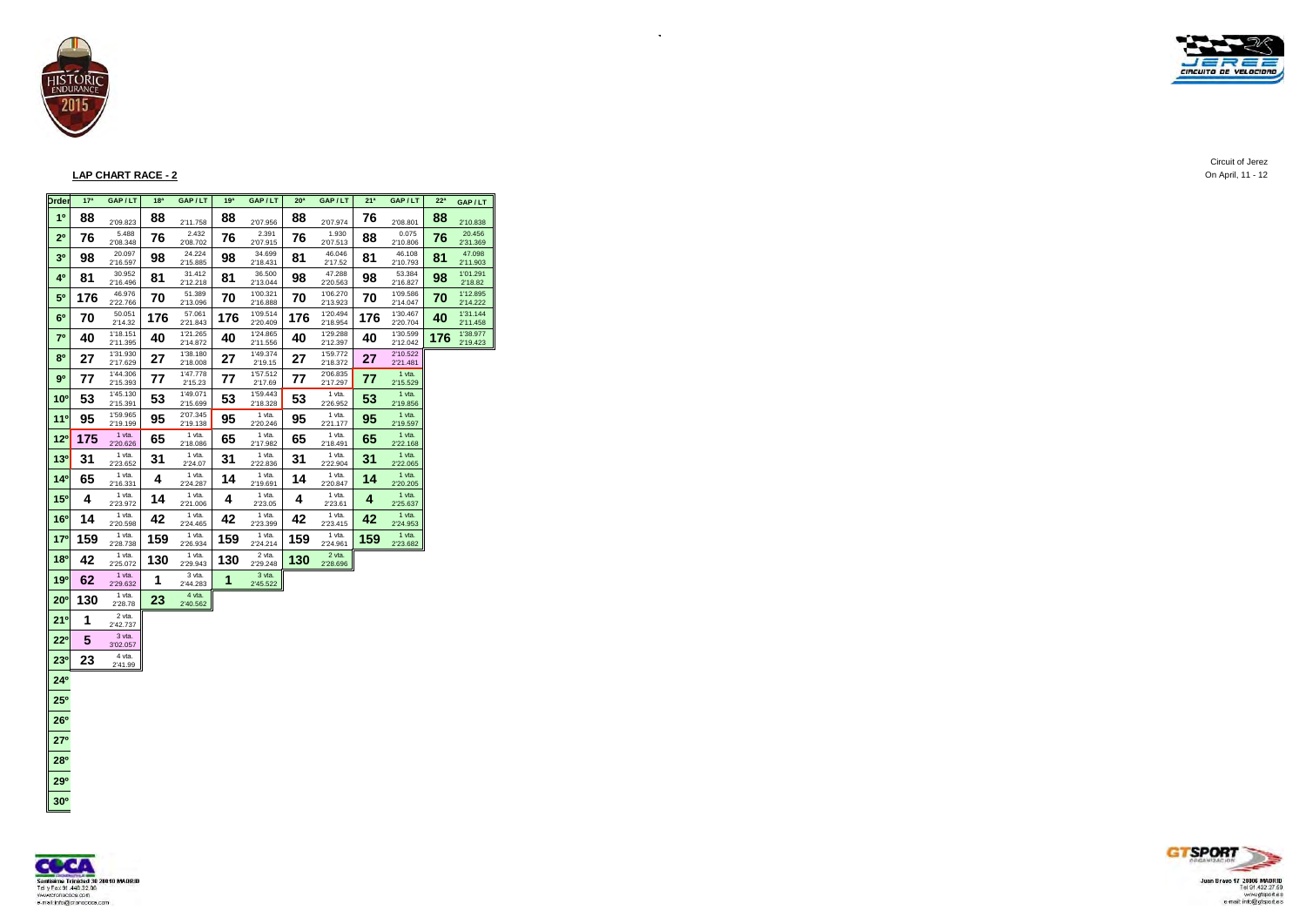



### **LAP CHART RACE - 2** On April, 11 - 12

| <b>Drder</b>    | 17 <sup>a</sup> | GAP/LT               | 18 <sup>a</sup> | GAP/LT               | 19 <sup>a</sup> | GAP/LT               | 20 <sup>a</sup> | GAP/LT               | 21 <sup>3</sup> | GAP/LT                           | 22 <sup>a</sup> | GAP/LT               |
|-----------------|-----------------|----------------------|-----------------|----------------------|-----------------|----------------------|-----------------|----------------------|-----------------|----------------------------------|-----------------|----------------------|
| 10              | 88              | 2'09.823             | 88              | 2'11.758             | 88              | 2'07.956             | 88              | 2'07.974             | 76              | 2'08.801                         | 88              | 2'10.838             |
| 2 <sup>0</sup>  | 76              | 5.488<br>2'08.348    | 76              | 2.432<br>2'08.702    | 76              | 2.391<br>2'07.915    | 76              | 1.930<br>2'07.513    | 88              | 0.075<br>2'10.806                | 76              | 20.456<br>2'31.369   |
| 3 <sup>0</sup>  | 98              | 20.097<br>2'16.597   | 98              | 24.224<br>2'15.885   | 98              | 34.699<br>2'18.431   | 81              | 46.046<br>2'17.52    | 81              | 46.108<br>2'10.793               | 81              | 47.098<br>2'11.903   |
| 4º              | 81              | 30.952<br>2'16.496   | 81              | 31.412<br>2'12.218   | 81              | 36.500<br>2'13.044   | 98              | 47.288<br>2'20.563   | 98              | 53.384<br>2'16.827               | 98              | 1'01.291<br>2'18.82  |
| 5°              | 176             | 46.976<br>2'22.766   | 70              | 51.389<br>2'13.096   | 70              | 1'00.321<br>2'16.888 | 70              | 1'06.270<br>2'13.923 | 70              | 1'09.586<br>2'14.047             | 70              | 1'12.895<br>2'14.222 |
| 6 <sup>0</sup>  | 70              | 50.051<br>2'14.32    | 176             | 57.061<br>2'21.843   | 176             | 1'09.514<br>2'20.409 | 176             | 1'20.494<br>2'18.954 | 176             | 1'30.467<br>2'20.704             | 40              | 1'31.144<br>2'11.458 |
| 7 <sup>0</sup>  | 40              | 1'18.151<br>2'11.395 | 40              | 1'21.265<br>2'14.872 | 40              | 1'24.865<br>2'11.556 | 40              | 1'29.288<br>2'12.397 | 40              | 1'30.599<br>2'12.042             | 176             | 1'38.977<br>2'19.423 |
| 8 <sup>0</sup>  | 27              | 1'31.930<br>2'17.629 | 27              | 1'38.180<br>2'18.008 | 27              | 1'49.374<br>2'19.15  | 27              | 1'59.772<br>2'18.372 | 27              | 2'10.522<br>2'21.481             |                 |                      |
| 90              | 77              | 1'44.306<br>2'15.393 | 77              | 1'47.778<br>2'15.23  | 77              | 1'57.512<br>2'17.69  | 77              | 2'06.835<br>2'17.297 | 77              | 1 vta.<br>2'15.529               |                 |                      |
| 10 <sup>o</sup> | 53              | 1'45.130<br>2'15.391 | 53              | 1'49.071<br>2'15.699 | 53              | 1'59.443<br>2'18.328 | 53              | 1 vta.<br>2'26.952   | 53              | $1$ vta.<br>2'19.856             |                 |                      |
| 11°             | 95              | 1'59.965<br>2'19.199 | 95              | 2'07.345<br>2'19.138 | 95              | 1 vta.<br>2'20.246   | 95              | 1 vta.<br>2'21.177   | 95              | $1$ vta.<br>2'19.597             |                 |                      |
| $12^{o}$        | 175             | 1 vta.<br>2'20.626   | 65              | 1 vta.<br>2'18.086   | 65              | 1 vta.<br>2'17.982   | 65              | 1 vta.<br>2'18.491   | 65              | $1$ vta.                         |                 |                      |
| 13 <sup>0</sup> | 31              | 1 vta.<br>2'23.652   | 31              | 1 vta.<br>2'24.07    | 31              | 1 vta.<br>2'22.836   | 31              | 1 vta.<br>2'22.904   | 31              | 2'22.168<br>$1$ vta.<br>2'22.065 |                 |                      |
| 14 <sup>0</sup> | 65              | 1 vta.               | 4               | 1 vta.               | 14              | 1 vta.               | 14              | 1 vta.               | 14              | $1$ vta.                         |                 |                      |
| 15°             | 4               | 2'16.331<br>1 vta.   | 14              | 2'24.287<br>1 vta.   | 4               | 2'19.691<br>1 vta.   | 4               | 2'20.847<br>1 vta.   | 4               | 2'20.205<br>$1$ vta.             |                 |                      |
| 16 <sup>o</sup> | 14              | 2'23.972<br>1 vta.   | 42              | 2'21.006<br>1 vta.   | 42              | 2'23.05<br>1 vta.    | 42              | 2'23.61<br>1 vta.    | 42              | 2'25.637<br>$1$ vta.             |                 |                      |
| 17°             | 159             | 2'20.598<br>1 vta.   | 159             | 2'24.465<br>1 vta.   | 159             | 2'23.399<br>1 vta.   | 159             | 2'23.415<br>1 vta.   | 159             | 2'24.953<br>$1$ vta.             |                 |                      |
| 18 <sup>0</sup> | 42              | 2'28.738<br>1 vta.   | 130             | 2'26.934<br>1 vta.   | 130             | 2'24.214<br>2 vta.   | 130             | 2'24.961<br>2 vta.   |                 | 2'23.682                         |                 |                      |
| 19°             | 62              | 2'25.072<br>1 vta.   | 1               | 2'29.943<br>3 vta.   | 1               | 2'29.248<br>3 vta.   |                 | 2'28.696             |                 |                                  |                 |                      |
| $20^{\circ}$    | 130             | 2'29.632<br>1 vta.   | 23              | 2'44.283<br>4 vta.   |                 | 2'45.522             |                 |                      |                 |                                  |                 |                      |
| 21°             | 1               | 2'28.78<br>2 vta.    |                 | 2'40.562             |                 |                      |                 |                      |                 |                                  |                 |                      |
| $22^{\circ}$    | 5               | 2'42.737<br>3 vta.   |                 |                      |                 |                      |                 |                      |                 |                                  |                 |                      |
|                 | 23              | 3'02.057<br>4 vta.   |                 |                      |                 |                      |                 |                      |                 |                                  |                 |                      |
| 23 <sup>0</sup> |                 | 2'41.99              |                 |                      |                 |                      |                 |                      |                 |                                  |                 |                      |
| $24^{\circ}$    |                 |                      |                 |                      |                 |                      |                 |                      |                 |                                  |                 |                      |
| $25^{\circ}$    |                 |                      |                 |                      |                 |                      |                 |                      |                 |                                  |                 |                      |
| 26°             |                 |                      |                 |                      |                 |                      |                 |                      |                 |                                  |                 |                      |
| 27°             |                 |                      |                 |                      |                 |                      |                 |                      |                 |                                  |                 |                      |
| 28°             |                 |                      |                 |                      |                 |                      |                 |                      |                 |                                  |                 |                      |
| 29°             |                 |                      |                 |                      |                 |                      |                 |                      |                 |                                  |                 |                      |
| $30^{\circ}$    |                 |                      |                 |                      |                 |                      |                 |                      |                 |                                  |                 |                      |

 $\bar{A}$ 





 $C$ ircuit of Jerez